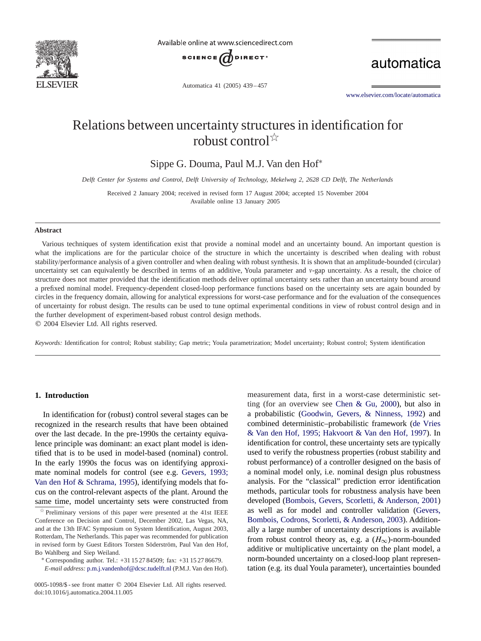

Available online at www.sciencedirect.com



Automatica 41 (2005) 439 – 457

automatica

[www.elsevier.com/locate/automatica](http://www.elsevier.com/locate/automatica)

# Relations between uncertainty structures in identification for robust control<sup> $\frac{1}{2}$ </sup>

Sippe G. Douma, Paul M.J. Van den Hof<sup>∗</sup>

*Delft Center for Systems and Control, Delft University of Technology, Mekelweg 2, 2628 CD Delft, The Netherlands*

Received 2 January 2004; received in revised form 17 August 2004; accepted 15 November 2004 Available online 13 January 2005

## **Abstract**

Various techniques of system identification exist that provide a nominal model and an uncertainty bound. An important question is what the implications are for the particular choice of the structure in which the uncertainty is described when dealing with robust stability/performance analysis of a given controller and when dealing with robust synthesis. It is shown that an amplitude-bounded (circular) uncertainty set can equivalently be described in terms of an additive, Youla parameter and v-gap uncertainty. As a result, the choice of structure does not matter provided that the identification methods deliver optimal uncertainty sets rather than an uncertainty bound around a prefixed nominal model. Frequency-dependent closed-loop performance functions based on the uncertainty sets are again bounded by circles in the frequency domain, allowing for analytical expressions for worst-case performance and for the evaluation of the consequences of uncertainty for robust design. The results can be used to tune optimal experimental conditions in view of robust control design and in the further development of experiment-based robust control design methods.  $© 2004 Elsevier Ltd. All rights reserved.$ 

*Keywords:* Identification for control; Robust stability; Gap metric; Youla parametrization; Model uncertainty; Robust control; System identification

# **1. Introduction**

In identification for (robust) control several stages can be recognized in the research results that have been obtained over the last decade. In the pre-1990s the certainty equivalence principle was dominant: an exact plant model is identified that is to be used in model-based (nominal) control. In the early 1990s the focus was on identifying approximate nominal models for control (see e.g. Gevers, 1993; Van den Hof & Schrama, 1995), identifying models that focus on the control-relevant aspects of the plant. Around the same time, model uncertainty sets were constructed from

*E-mail address:* [p.m.j.vandenhof@dcsc.tudelft.nl](mailto:p.m.j.vandenhof@dcsc.tudelft.nl) (P.M.J. Van den Hof).

0005-1098/\$ - see front matter © 2004 Elsevier Ltd. All rights reserved. doi:10.1016/j.automatica.2004.11.005

measurement data, first in a worst-case deterministic setting (for an overview see [Chen & Gu, 2000\)](#page-17-0), but also in a probabilistic [\(Goodwin, Gevers, & Ninness, 1992\)](#page-17-0) and combined deterministic–probabilistic framework (de Vries & Van den Hof, 1995; Hakvoort & Van den Hof, 1997). In identification for control, these uncertainty sets are typically used to verify the robustness properties (robust stability and robust performance) of a controller designed on the basis of a nominal model only, i.e. nominal design plus robustness analysis. For the "classical" prediction error identification methods, particular tools for robustness analysis have been developed [\(Bombois, Gevers, Scorletti, & Anderson, 2001\)](#page-17-0) as well as for model and controller validation [\(Gevers,](#page-17-0) [Bombois, Codrons, Scorletti, & Anderson, 2003\)](#page-17-0). Additionally a large number of uncertainty descriptions is available from robust control theory as, e.g. a  $(H_{\infty})$ -norm-bounded additive or multiplicative uncertainty on the plant model, a norm-bounded uncertainty on a closed-loop plant representation (e.g. its dual Youla parameter), uncertainties bounded

 $\overrightarrow{p}$  Preliminary versions of this paper were presented at the 41st IEEE Conference on Decision and Control, December 2002, Las Vegas, NA, andat the 13th IFAC Symposium on System Identification, August 2003, Rotterdam, The Netherlands. This paper was recommended for publication in revised form by Guest Editors Torsten Söderström, Paul Van den Hof, Bo Wahlberg and Siep Weiland.<br>∗ Corresponding author. Tel.: +31 15 27 84509; fax: +31 15 27 86679.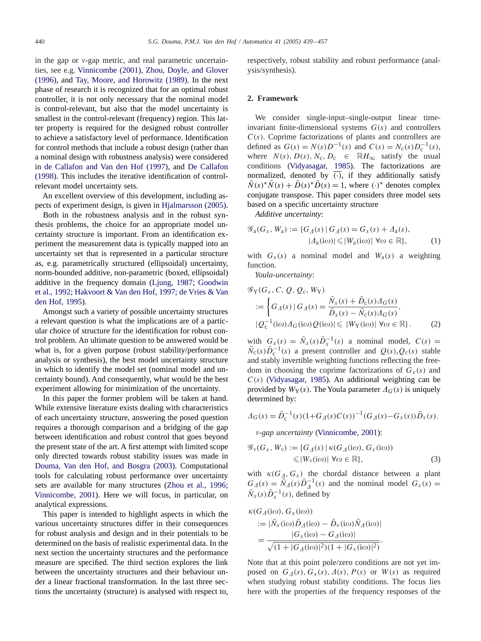in the gap or  $v$ -gap metric, and real parametric uncertain-ties, see e.g. [Vinnicombe \(2001\),](#page-18-0) Zhou, Doyle, and Glover  $(1996)$ , and Tay, Moore, and Horowitz  $(1989)$ . In the next phase of research it is recognized that for an optimal robust controller, it is not only necessary that the nominal model is control-relevant, but also that the model uncertainty is smallest in the control-relevant (frequency) region. This latter property is required for the designed robust controller to achieve a satisfactory level of performance. Identification for control methods that include a robust design (rather than a nominal design with robustness analysis) were considered in [de Callafon and Van den Hof \(1997\),](#page-17-0) and [De Callafon](#page-17-0) [\(1998\).](#page-17-0) This includes the iterative identification of controlrelevant model uncertainty sets.

An excellent overview of this development, including aspects of experiment design, is given in [Hjalmarsson \(2005\).](#page-17-0)

Both in the robustness analysis and in the robust synthesis problems, the choice for an appropriate model uncertainty structure is important. From an identification experiment the measurement data is typically mapped into an uncertainty set that is represented in a particular structure as, e.g. parametrically structured (ellipsoidal) uncertainty, norm-bounded additive, non-parametric (boxed, ellipsoidal) additive in the frequency domain (Ljung, 1987; Goodwin et al., 1992; Hakvoort & Van den Hof, 1997; de Vries & Van den Hof, 1995).

Amongst such a variety of possible uncertainty structures a relevant question is what the implications are of a particular choice of structure for the identification for robust control problem. An ultimate question to be answered would be what is, for a given purpose (robust stability/performance analysis or synthesis), the best model uncertainty structure in which to identify the model set (nominal model and uncertainty bound). And consequently, what would be the best experiment allowing for minimization of the uncertainty.

In this paper the former problem will be taken at hand. While extensive literature exists dealing with characteristics of each uncertainty structure, answering the posedquestion requires a thorough comparison anda bridging of the gap between identification and robust control that goes beyond the present state of the art. A first attempt with limited scope only directed towards robust stability issues was made in [Douma, Van den Hof, and Bosgra \(2003\).](#page-17-0) Computational tools for calculating robust performance over uncertainty sets are available for many structures (Zhou et al., 1996; Vinnicombe, 2001). Here we will focus, in particular, on analytical expressions.

This paper is intended to highlight aspects in which the various uncertainty structures differ in their consequences for robust analysis and design and in their potentials to be determined on the basis of realistic experimental data. In the next section the uncertainty structures and the performance measure are specified. The third section explores the link between the uncertainty structures and their behaviour under a linear fractional transformation. In the last three sections the uncertainty (structure) is analysedwith respect to,

respectively, robust stability and robust performance (analysis/synthesis).

# **2. Framework**

We consider single-input–single-output linear timeinvariant finite-dimensional systems  $G(s)$  and controllers  $C(s)$ . Coprime factorizations of plants and controllers are defined as  $G(s) = N(s)D^{-1}(s)$  and  $C(s) = N_c(s)D_c^{-1}(s)$ , where  $N(s)$ ,  $D(s)$ ,  $N_c$ ,  $D_c \in \mathbb{R}$  $H_{\infty}$  satisfy the usual conditions [\(Vidyasagar, 1985\)](#page-18-0). The factorizations are normalized, denoted by  $(\cdot)$ , if they additionally satisfy  $\overline{N}(s)^* \overline{N}(s) + \overline{D}(s)^* \overline{D}(s) = 1$ , where (·)<sup>\*</sup> denotes complex conjugate transpose. This paper considers three model sets based on a specific uncertainty structure

*Additive uncertainty*:

$$
\mathcal{G}_{\mathbf{a}}(G_x, W_{\mathbf{a}}) := \{ G_{\mathbf{\Lambda}}(s) \mid G_{\mathbf{\Lambda}}(s) = G_x(s) + \mathbf{\Lambda}_{\mathbf{a}}(s), |\mathbf{\Lambda}_{\mathbf{a}}(i\omega)| \leq |\mathbf{W}_{\mathbf{a}}(i\omega)| \ \forall \omega \in \mathbb{R} \},
$$
 (1)

with  $G_x(s)$  a nominal model and  $W_a(s)$  a weighting function.

*Youla-uncertainty*:

$$
\mathcal{G}_{\mathbf{Y}}(G_x, C, Q, Q_c, W_{\mathbf{Y}})
$$
  

$$
:= \left\{ G_{\mathcal{A}}(s) \mid G_{\mathcal{A}}(s) = \frac{\bar{N}_x(s) + \bar{D}_c(s) \Delta_G(s)}{\bar{D}_x(s) - \bar{N}_c(s) \Delta_G(s)}, \right\}
$$
  

$$
|Q_c^{-1}(i\omega) \Delta_G(i\omega) Q(i\omega)| \le |W_{\mathbf{Y}}(i\omega)| \ \forall \omega \in \mathbb{R} \}.
$$
 (2)

with  $G_x(s) = \overline{N}_x(s)\overline{D}_x^{-1}(s)$  a nominal model,  $C(s)$  $N_c(s)D_c^{-1}(s)$  a present controller and  $Q(s),Q_c(s)$  stable and stably invertible weighting functions reflecting the freedom in choosing the coprime factorizations of  $G_x(s)$  and  $C(s)$  [\(Vidyasagar, 1985\)](#page-18-0). An additional weighting can be provided by  $W_Y(s)$ . The Youla parameter  $\Delta_G(s)$  is uniquely determined by:

$$
\Delta_G(s) = \bar{D}_c^{-1}(s)(1 + G_{\Delta}(s)C(s))^{-1}(G_{\Delta}(s) - G_{\chi}(s))\bar{D}_{\chi}(s).
$$

-*gap uncertainty* [\(Vinnicombe, 2001\)](#page-18-0):

$$
\mathcal{G}_{\nu}(G_x, W_{\nu}) := \{ G_{\Delta}(s) \mid \kappa(G_{\Delta}(\mathrm{i}\omega), G_x(\mathrm{i}\omega)) \leq |\mathcal{W}_{\nu}(\mathrm{i}\omega)| \; \forall \omega \in \mathbb{R} \}, \tag{3}
$$

with  $\kappa(G_A, G_x)$  the chordal distance between a plant  $G_A(s) = \overline{N}_A(s)\overline{D}_A^{-1}(s)$  and the nominal model  $G_x(s) =$  $\overline{N}_x(s)\overline{D}_x^{-1}(s)$ , defined by

$$
\kappa(G_{\Delta}(\mathrm{i}\omega), G_{x}(\mathrm{i}\omega)) \n:= |\bar{N}_{x}(\mathrm{i}\omega)\bar{D}_{\Delta}(\mathrm{i}\omega) - \bar{D}_{x}(\mathrm{i}\omega)\bar{N}_{\Delta}(\mathrm{i}\omega)| \n= \frac{|G_{x}(\mathrm{i}\omega) - G_{\Delta}(\mathrm{i}\omega)|}{\sqrt{(1 + |G_{\Delta}(\mathrm{i}\omega)|^{2})(1 + |G_{x}(\mathrm{i}\omega)|^{2})}}.
$$

Note that at this point pole/zero conditions are not yet imposed on  $G_{\Delta}(s)$ ,  $G_x(s)$ ,  $\Delta(s)$ ,  $P(s)$  or  $W(s)$  as required when studying robust stability conditions. The focus lies here with the properties of the frequency responses of the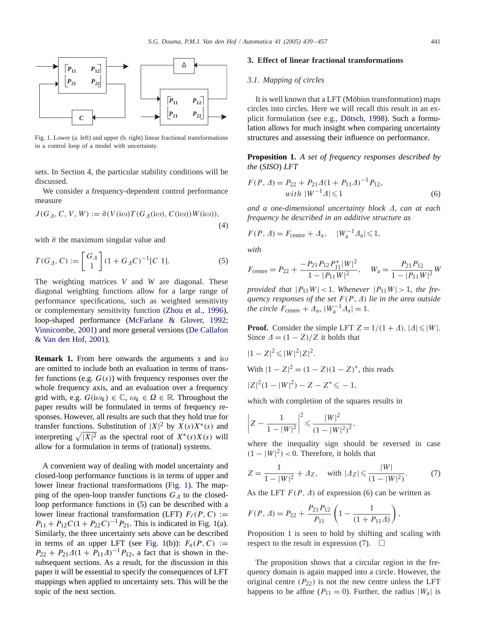

Fig. 1. Lower (a. left) andupper (b. right) linear fractional transformations in a control loop of a model with uncertainty.

sets. In Section 4, the particular stability conditions will be discussed.

We consider a frequency-dependent control performance measure

$$
J(G_{\Lambda}, C, V, W) := \bar{\sigma}(V(i\omega)T(G_{\Lambda}(i\omega), C(i\omega))W(i\omega)),
$$
  
(4)

with  $\bar{\sigma}$  the maximum singular value and

$$
T(G_{\Delta}, C) := \begin{bmatrix} G_{\Delta} \\ 1 \end{bmatrix} (1 + G_{\Delta} C)^{-1} [C 1].
$$
 (5)

The weighting matrices *V* and *W* are diagonal. These diagonal weighting functions allow for a large range of performance specifications, such as weighted sensitivity or complementary sensitivity function [\(Zhou et al., 1996\)](#page-18-0), loop-shaped performance (McFarlane & Glover, 1992; Vinnicombe, 2001) andmore general versions [\(De Callafon](#page-17-0) [& Van den Hof, 2001\)](#page-17-0).

**Remark 1.** From here onwards the arguments *s* and  $i\omega$ are omitted to include both an evaluation in terms of transfer functions (e.g.  $G(s)$ ) with frequency responses over the whole frequency axis, and an evaluation over a frequency grid with, e.g.  $G(i\omega_k) \in \mathbb{C}$ ,  $\omega_k \in \Omega \in \mathbb{R}$ . Throughout the paper results will be formulated in terms of frequency responses. However, all results are such that they hold true for transfer functions. Substitution of  $|X|^2$  by  $X(s)X^*(s)$  and interpreting  $\sqrt{|X|^2}$  as the spectral root of  $X^*(s)X(s)$  will allow for a formulation in terms of (rational) systems.

A convenient way of dealing with model uncertainty and closed-loop performance functions is in terms of upper and lower linear fractional transformations (Fig. 1). The mapping of the open-loop transfer functions  $G_{\Lambda}$  to the closedloop performance functions in (5) can be described with a lower linear fractional transformation (LFT)  $F_{\ell}(P, C) :=$  $P_{11} + P_{12}C(1 + P_{22}C)^{-1}P_{21}$ . This is indicated in Fig. 1(a). Similarly, the three uncertainty sets above can be described in terms of an upper LFT (see Fig. 1(b)):  $F_u(P, C) :=$  $P_{22} + P_{21}A(1 + P_{11}A)^{-1}P_{12}$ , a fact that is shown in thesubsequent sections. As a result, for the discussion in this paper it will be essential to specify the consequences of LFT mappings when applied to uncertainty sets. This will be the topic of the next section.

## **3. Effect of linear fractional transformations**

# *3.1. Mapping of circles*

It is well known that a LFT (Möbius transformation) maps circles into circles. Here we will recall this result in an explicit formulation (see e.g., [Dötsch, 1998\)](#page-17-0). Such a formulation allows for much insight when comparing uncertainty structures and assessing their influence on performance.

**Proposition 1.** *A set of frequency responses described by the* (*SISO*) *LFT*

$$
F(P, \Delta) = P_{22} + P_{21}\Delta(1 + P_{11}\Delta)^{-1}P_{12},
$$
  
with  $|W^{-1}\Delta| \le 1$  (6)

and a one-dimensional uncertainty block  $\Delta$ , can at each *frequency be described in an additive structure as*

 $F(P, \Delta) = F_{\text{centre}} + \Delta_{\text{a}}, \quad |W_{\text{a}}^{-1} \Delta_{\text{a}}| \leq 1,$ 

*with*

$$
F_{\text{centre}} = P_{22} + \frac{-P_{21}P_{12}P_{11}^*|W|^2}{1 - |P_{11}W|^2}, \quad W_a = \frac{P_{21}P_{12}}{1 - |P_{11}W|^2}W
$$

*provided that*  $|P_{11}W| < 1$ . *Whenever*  $|P_{11}W| > 1$ , *the frequency responses of the set*  $F(P, \Delta)$  *lie in the area outside the circle*  $F_{\text{centre}} + \Delta_{\text{a}}$ ,  $|W_{\text{a}}^{-1} \Delta_{\text{a}}| = 1$ .

**Proof.** Consider the simple LFT  $Z = 1/(1 + \Delta)$ ,  $|\Delta| \le |W|$ . Since  $\Delta = (1 - Z)/Z$  it holds that

$$
|1 - Z|^2 \le |W|^2 |Z|^2.
$$
  
With 
$$
|1 - Z|^2 = (1 - Z)(1 - Z)^*
$$
, this reads  

$$
|Z|^2 (1 - |W|^2) - Z - Z^* \le -1,
$$

which with completion of the squares results in

$$
\left| Z - \frac{1}{1 - |W|^2} \right|^2 \leqslant \frac{|W|^2}{(1 - |W|^2)^2},
$$

where the inequality sign should be reversed in case  $(1 - |W|^2)$  < 0. Therefore, it holds that

$$
Z = \frac{1}{1 - |W|^2} + \Delta_Z, \quad \text{with } | \Delta_Z | \leqslant \frac{|W|}{(1 - |W|^2)}. \tag{7}
$$

As the LFT  $F(P, \Delta)$  of expression (6) can be written as

$$
F(P, \Delta) = P_{22} + \frac{P_{21}P_{12}}{P_{11}} \left(1 - \frac{1}{(1 + P_{11}\Delta)}\right),
$$

Proposition 1 is seen to hold by shifting and scaling with respect to the result in expression (7).  $\Box$ 

The proposition shows that a circular region in the frequency domain is again mapped into a circle. However, the original centre  $(P_{22})$  is not the new centre unless the LFT happens to be affine  $(P_{11} = 0)$ . Further, the radius  $|W_a|$  is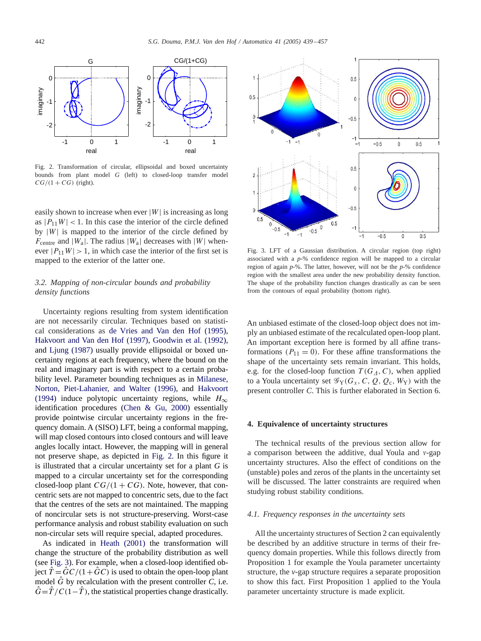

Fig. 2. Transformation of circular, ellipsoidal and boxed uncertainty bounds from plant model *G* (left) to closed-loop transfer model  $CG/(1 + CG)$  (right).

easily shown to increase when ever  $|W|$  is increasing as long as  $|P_{11}W|$  < 1. In this case the interior of the circle defined by  $|W|$  is mapped to the interior of the circle defined by  $F_{\text{centre}}$  and  $|W_a|$ . The radius  $|W_a|$  decreases with  $|W|$  whenever  $|P_{11}W| > 1$ , in which case the interior of the first set is mapped to the exterior of the latter one.

# *3.2. Mapping of non-circular bounds and probability density functions*

Uncertainty regions resulting from system identification are not necessarily circular. Techniques based on statistical considerations as [de Vries and Van den Hof \(1995\),](#page-17-0) Hakvoort and Van den Hof (1997), [Goodwin et al. \(1992\),](#page-17-0) and [Ljung \(1987\)](#page-17-0) usually provide ellipsoidal or boxed uncertainty regions at each frequency, where the bound on the real and imaginary part is with respect to a certain probability level. Parameter bounding techniques as in [Milanese,](#page-17-0) Norton, Piet-Lahanier, and Walter (1996), and [Hakvoort](#page-17-0) [\(1994\)](#page-17-0) induce polytopic uncertainty regions, while  $H_{\infty}$ identification procedures [\(Chen & Gu, 2000\)](#page-17-0) essentially provide pointwise circular uncertainty regions in the frequency domain. A (SISO) LFT, being a conformal mapping, will map closed contours into closed contours and will leave angles locally intact. However, the mapping will in general not preserve shape, as depicted in Fig. 2. In this figure it is illustrated that a circular uncertainty set for a plant  $G$  is mapped to a circular uncertainty set for the corresponding closed-loop plant  $CG/(1 + CG)$ . Note, however, that concentric sets are not mapped to concentric sets, due to the fact that the centres of the sets are not maintained. The mapping of noncircular sets is not structure-preserving. Worst-case performance analysis and robust stability evaluation on such non-circular sets will require special, adapted procedures.

As indicated in [Heath \(2001\)](#page-17-0) the transformation will change the structure of the probability distribution as well (see Fig. 3). For example, when a closed-loop identified object  $T = GC/(1+GC)$  is used to obtain the open-loop plant model  $\hat{G}$  by recalculation with the present controller  $C$ , i.e.  $\hat{G} = \hat{T}/C(1-\hat{T})$ , the statistical properties change drastically.



Fig. 3. LFT of a Gaussian distribution. A circular region (top right) associated with a  $p-\%$  confidence region will be mapped to a circular region of again *p*-%. The latter, however, will not be the *p*-% confidence region with the smallest area under the new probability density function. The shape of the probability function changes drastically as can be seen from the contours of equal probability (bottom right).

An unbiased estimate of the closed-loop object does not imply an unbiasedestimate of the recalculatedopen-loop plant. An important exception here is formed by all affine transformations ( $P_{11} = 0$ ). For these affine transformations the shape of the uncertainty sets remain invariant. This holds, e.g. for the closed-loop function  $T(G_A, C)$ , when applied to a Youla uncertainty set  $\mathscr{G}_{Y}(G_{x}, C, Q, Q_{c}, W_{Y})$  with the present controller *C*. This is further elaborated in Section 6.

# **4. Equivalence of uncertaintystructures**

The technical results of the previous section allow for a comparison between the additive, dual Youla and  $v$ -gap uncertainty structures. Also the effect of conditions on the (unstable) poles andzeros of the plants in the uncertainty set will be discussed. The latter constraints are required when studying robust stability conditions.

# *4.1. Frequency responses in the uncertainty sets*

All the uncertainty structures of Section 2 can equivalently be described by an additive structure in terms of their frequency domain properties. While this follows directly from Proposition 1 for example the Youla parameter uncertainty structure, the *v*-gap structure requires a separate proposition to show this fact. First Proposition 1 applied to the Youla parameter uncertainty structure is made explicit.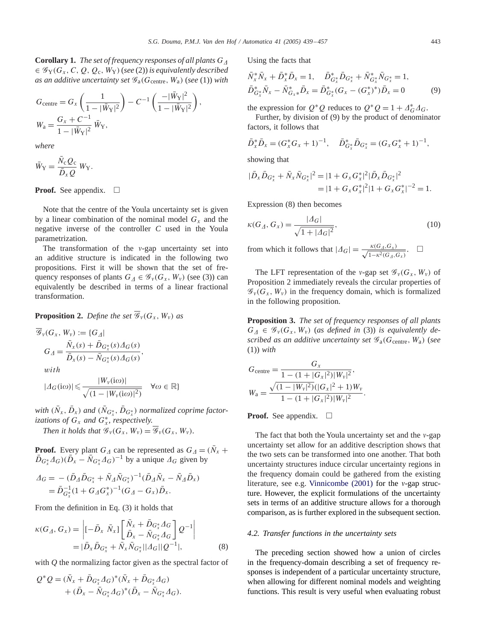**Corollary1.** *The set of frequency responses of all plants* G- $\in \mathscr{G}_{Y}(G_{x}, C, Q, Q_{c}, W_{Y})$  (*see* (2)) *is equivalently described as an additive uncertainty set*  $\mathcal{G}_a(G_{\text{centre}}, W_a)$  (*see* (1)) *with* 

$$
G_{\text{centre}} = G_x \left( \frac{1}{1 - |\bar{W}_Y|^2} \right) - C^{-1} \left( \frac{-|\bar{W}_Y|^2}{1 - |\bar{W}_Y|^2} \right),
$$
  

$$
W_a = \frac{G_x + C^{-1}}{1 - |\bar{W}_Y|^2} \bar{W}_Y,
$$

*where*

$$
\bar{W}_{\mathbf{Y}} = \frac{\bar{N}_{\rm c} Q_{\rm c}}{\bar{D}_{x} Q} W_{\mathbf{Y}}.
$$

**Proof.** See appendix.  $\Box$ 

Note that the centre of the Youla uncertainty set is given by a linear combination of the nominal model  $G_x$  and the negative inverse of the controller *C* usedin the Youla parametrization.

The transformation of the  $v$ -gap uncertainty set into an additive structure is indicated in the following two propositions. First it will be shown that the set of frequency responses of plants  $G_{\Delta} \in \mathcal{G}_{\nu}(G_{x}, W_{\nu})$  (see (3)) can equivalently be described in terms of a linear fractional transformation.

**Proposition 2.** *Define the set*  $\overline{\mathscr{G}}_y(G_x, W_y)$  *as* 

$$
\overline{\mathcal{G}}_y(G_x, W_y) := \{G_{\Delta} |
$$
  
\n
$$
G_{\Delta} = \frac{\overline{N}_x(s) + \overline{D}_{G_x^*}(s) \Delta_G(s)}{\overline{D}_x(s) - \overline{N}_{G_x^*}(s) \Delta_G(s)},
$$
  
\nwith

$$
|A_G(i\omega)| \leq \frac{|W_v(i\omega)|}{\sqrt{(1 - |W_v(i\omega)|^2)}}
$$
  $\forall \omega \in \mathbb{R}$ 

 $with$   $(\bar{N}_x, \bar{D}_x)$  and  $(\bar{N}_{G^*_x}, \bar{D}_{G^*_x})$  normalized coprime factor*izations of*  $G_x$  *and*  $G_x^*$ *, respectively.* 

*Then it holds that*  $\mathcal{G}_{\nu}(G_x, W_{\nu}) = \overline{\mathcal{G}}_{\nu}(G_x, W_{\nu}).$ 

**Proof.** Every plant  $G_{\Lambda}$  can be represented as  $G_{\Lambda} = (\bar{N}_x + \bar{N}_y)$  $\overline{D}_{G_{x}^{*}} \Delta_{G} (\overline{D}_{x} - \overline{N}_{G_{x}^{*}} \overline{\Delta_{G}})^{-1}$  by a unique  $\Delta_{G}$  given by

$$
\begin{split} \varDelta_G &= -\left(\bar{D}_A \bar{D}_{G_x^*} + \bar{N}_A \bar{N}_{G_x^*}\right)^{-1} \left(\bar{D}_A \bar{N}_x - \bar{N}_A \bar{D}_x\right) \\ &= \bar{D}_{G_x^*}^{-1} (1 + G_A G_x^*)^{-1} (G_A - G_x) \bar{D}_x. \end{split}
$$

From the definition in Eq. (3) it holds that

$$
\kappa(G_A, G_x) = \left| [-\bar{D}_x \ \bar{N}_x] \left[ \frac{\bar{N}_x + \bar{D}_{G_x^*} A_G}{\bar{D}_x - \bar{N}_{G_x^*} A_G} \right] Q^{-1} \right|
$$
  
=  $|\bar{D}_x \bar{D}_{G_x^*} + \bar{N}_x \bar{N}_{G_x^*} || A_G || Q^{-1} |,$  (8)

with *Q* the normalizing factor given as the spectral factor of

$$
Q^*Q = (\bar{N}_x + \bar{D}_{G_x^*} \Delta_G)^* (\bar{N}_x + \bar{D}_{G_x^*} \Delta_G) + (\bar{D}_x - \bar{N}_{G_x^*} \Delta_G)^* (\bar{D}_x - \bar{N}_{G_x^*} \Delta_G).
$$

Using the facts that

$$
\bar{N}_x^* \bar{N}_x + \bar{D}_x^* \bar{D}_x = 1, \quad \bar{D}_{G_x^*}^* \bar{D}_{G_x^*} + \bar{N}_{G_x^*}^* \bar{N}_{G_x^*} = 1, \bar{D}_{G_x^*}^* \bar{N}_x - \bar{N}_{G_x^*}^* \bar{D}_x = \bar{D}_{G_x^*}^* (G_x - (G_x^*)^*) \bar{D}_x = 0
$$
\n(9)

the expression for  $Q^*Q$  reduces to  $Q^*Q = 1 + \Delta_G^* \Delta_G$ .

Further, by division of (9) by the product of denominator factors, it follows that

$$
\bar{D}_x^* \bar{D}_x = (G_x^* G_x + 1)^{-1}, \quad \bar{D}_{G_x^*}^* \bar{D}_{G_x^*} = (G_x G_x^* + 1)^{-1},
$$

showing that

$$
\begin{aligned} |\bar{D}_x \bar{D}_{G_x^*} + \bar{N}_x \bar{N}_{G_x^*}|^2 &= |1 + G_x G_x^*|^2 |\bar{D}_x \bar{D}_{G_x^*}|^2 \\ &= |1 + G_x G_x^*|^2 |1 + G_x G_x^*|^{-2} = 1. \end{aligned}
$$

Expression (8) then becomes

$$
\kappa(G_{\Delta}, G_x) = \frac{|A_G|}{\sqrt{1 + |A_G|^2}},
$$
\n(10)

from which it follows that  $|A_G| = \frac{\kappa(G_A, G_X)}{\sqrt{1 - \kappa^2(G_A)}}$  $\frac{\kappa(G_A, G_X)}{1-\kappa^2(G_A, G_X)}$ . □

The LFT representation of the v-gap set  $\mathscr{G}_{\nu}(G_x, W_{\nu})$  of Proposition 2 immediately reveals the circular properties of  $\mathscr{G}_{\nu}(G_{x}, W_{\nu})$  in the frequency domain, which is formalized in the following proposition.

**Proposition 3.** *The set of frequency responses of all plants*  $G_{\Delta} \in \mathscr{G}_{v}(G_{x}, W_{v})$  (as defined in (3)) is equivalently de*scribed as an additive uncertainty set*  $\mathscr{G}_{a}(G_{\text{centre}}, W_{a})$  (*see* (1)) *with*

$$
G_{\text{centre}} = \frac{G_x}{1 - (1 + |G_x|^2)|W_v|^2},
$$
  
\n
$$
W_a = \frac{\sqrt{(1 - |W_v|^2)}(|G_x|^2 + 1)W_v}{1 - (1 + |G_x|^2)|W_v|^2}.
$$

**Proof.** See appendix.  $\Box$ 

The fact that both the Youla uncertainty set and the  $v$ -gap uncertainty set allow for an additive description shows that the two sets can be transformed into one another. That both uncertainty structures induce circular uncertainty regions in the frequency domain could be gathered from the existing literature, see e.g. Vinnicombe  $(2001)$  for the *v*-gap structure. However, the explicit formulations of the uncertainty sets in terms of an additive structure allows for a thorough comparison, as is further explored in the subsequent section.

## *4.2. Transfer functions in the uncertainty sets*

The preceding section showed how a union of circles in the frequency-domain describing a set of frequency responses is independent of a particular uncertainty structure, when allowing for different nominal models and weighting functions. This result is very useful when evaluating robust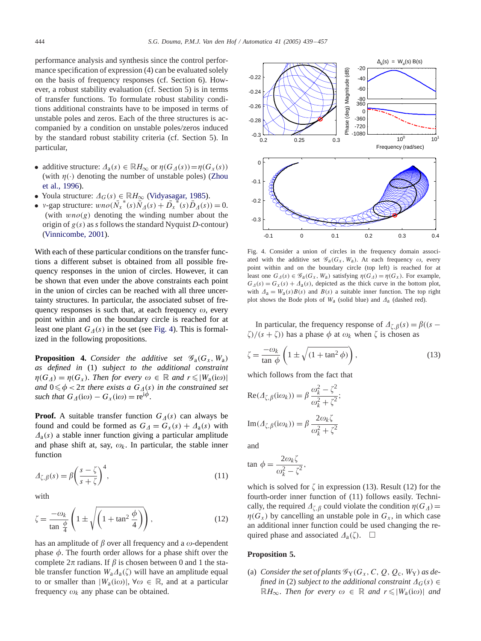performance analysis and synthesis since the control performance specification of expression  $(4)$  can be evaluated solely on the basis of frequency responses (cf. Section 6). However, a robust stability evaluation (cf. Section 5) is in terms of transfer functions. To formulate robust stability conditions additional constraints have to be imposed in terms of unstable poles and zeros. Each of the three structures is accompanied by a condition on unstable poles/zeros induced by the standard robust stability criteria (cf. Section 5). In particular,

- additive structure:  $\Delta_a(s) \in \mathbb{R}H_{\infty}$  or  $\eta(G_{\Delta}(s)) = \eta(G_x(s))$ (with  $\eta(\cdot)$  denoting the number of unstable poles) [\(Zhou](#page-18-0) [et al., 1996\)](#page-18-0).
- Youla structure:  $\Delta_G(s) \in \mathbb{R}H_{\infty}$  [\(Vidyasagar, 1985\)](#page-18-0).
- v-gap structure:  $wo(\overline{N_x}^*(s))\overline{N_A}(s) + \overline{D_x}^*(s)\overline{D_A}(s)) = 0.$ (with  $wno(g)$  denoting the winding number about the origin of  $g(s)$  as *s* follows the standard Nyquist *D*-contour) [\(Vinnicombe, 2001\)](#page-18-0).

With each of these particular conditions on the transfer functions a different subset is obtained from all possible frequency responses in the union of circles. However, it can be shown that even under the above constraints each point in the union of circles can be reached with all three uncertainty structures. In particular, the associated subset of frequency responses is such that, at each frequency  $\omega$ , every point within and on the boundary circle is reached for at least one plant  $G_{\Delta}(s)$  in the set (see Fig. 4). This is formalized in the following propositions.

**Proposition 4.** *Consider the additive set*  $\mathscr{G}_a(G_x, W_a)$ *as defined in* (1) *subject to the additional constraint*  $\eta(G_{\Delta}) = \eta(G_{x}).$  *Then for every*  $\omega \in \mathbb{R}$  *and*  $r \leq |W_{a}(i\omega)|$ and  $0 \leq \phi < 2\pi$  there exists a  $G_{\mathcal{A}}(s)$  *in the constrained set such that*  $G_{\Lambda}(\mathrm{i}\omega) - G_{\chi}(\mathrm{i}\omega) = \mathrm{re}^{\mathrm{i}\phi}$ .

**Proof.** A suitable transfer function  $G_{\Lambda}(s)$  can always be found and could be formed as  $G_{\Delta} = G_x(s) + \Delta_a(s)$  with  $\Lambda_a(s)$  a stable inner function giving a particular amplitude and phase shift at, say,  $\omega_k$ . In particular, the stable inner function

$$
\Delta_{\zeta,\beta}(s) = \beta \left(\frac{s-\zeta}{s+\zeta}\right)^4,\tag{11}
$$

with

$$
\zeta = \frac{-\omega_k}{\tan\frac{\phi}{4}} \left( 1 \pm \sqrt{\left( 1 + \tan^2\frac{\phi}{4} \right)} \right),\tag{12}
$$

has an amplitude of  $\beta$  over all frequency and a  $\omega$ -dependent phase  $\phi$ . The fourth order allows for a phase shift over the complete  $2\pi$  radians. If  $\beta$  is chosen between 0 and 1 the stable transfer function  $W_a \Delta_a(\zeta)$  will have an amplitude equal to or smaller than  $|W_a(i\omega)|$ ,  $\forall \omega \in \mathbb{R}$ , and at a particular frequency  $\omega_k$  any phase can be obtained.



Fig. 4. Consider a union of circles in the frequency domain associated with the additive set  $\mathscr{G}_{a}(G_{x}, W_{a})$ . At each frequency  $\omega$ , every point within and on the boundary circle (top left) is reached for at least one  $G_{\Delta}(s) \in \mathscr{G}_{a}(G_{\chi}, W_{a})$  satisfying  $\eta(G_{\Delta}) = \eta(G_{\chi})$ . For example,  $G_{\Delta}(s) = G_{\chi}(s) + \Delta_{\alpha}(s)$ , depicted as the thick curve in the bottom plot, with  $\Delta_a = W_a(s)B(s)$  and  $B(s)$  a suitable inner function. The top right plot shows the Bode plots of  $W_a$  (solid blue) and  $\Delta_a$  (dashed red).

In particular, the frequency response of  $\Delta_{\zeta,\beta}(s) = \beta((s - \beta))$  $\zeta$ /(s +  $\zeta$ )) has a phase  $\phi$  at  $\omega_k$  when  $\zeta$  is chosen as

$$
\zeta = \frac{-\omega_k}{\tan \phi} \left( 1 \pm \sqrt{(1 + \tan^2 \phi)} \right),\tag{13}
$$

which follows from the fact that

$$
Re(\Delta_{\zeta,\beta}(i\omega_k)) = \beta \frac{\omega_k^2 - \zeta^2}{\omega_k^2 + \zeta^2};
$$
  

$$
Im(\Delta_{\zeta,\beta}(i\omega_k)) = \beta \frac{2\omega_k\zeta}{\omega_k^2 + \zeta^2}
$$

and

$$
\tan \phi = \frac{2\omega_k \zeta}{\omega_k^2 - \zeta^2},
$$

which is solved for  $\zeta$  in expression (13). Result (12) for the fourth-order inner function of (11) follows easily. Technically, the required  $\Delta_{\zeta,\beta}$  could violate the condition  $\eta(G_{\Delta}) =$  $\eta(G_x)$  by cancelling an unstable pole in  $G_x$ , in which case an additional inner function could be used changing the required phase and associated  $\Delta_a(\zeta)$ .  $\Box$ 

# **Proposition 5.**

(a) *Consider the set of plants*  $\mathscr{G}_Y(G_X, C, Q, Q_c, W_Y)$  *as defined in* (2) *subject to the additional constraint*  $\Delta_G(s) \in$  $\mathbb{R}$ *H*<sub>∞</sub>. *Then for every*  $ω ∈ \mathbb{R}$  *and*  $r ≤ |W_a(iω)|$  *and*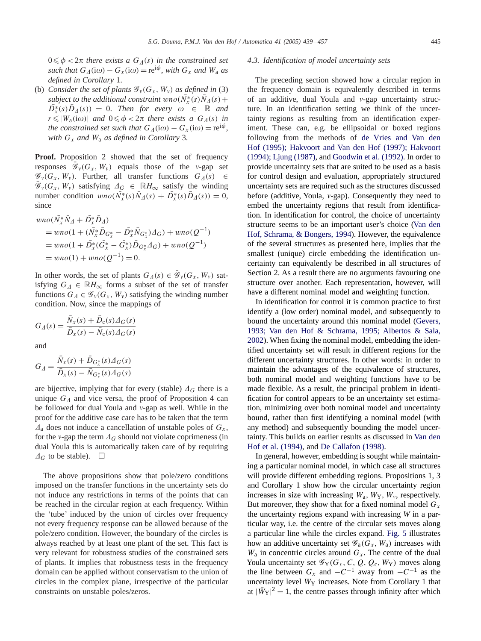$0 \leq \phi < 2\pi$  there exists a  $G_{\Lambda}(s)$  in the constrained set  $such that G_{\Delta}(\mathrm{i}\omega) - G_{\chi}(\mathrm{i}\omega) = \mathrm{re}^{\mathrm{i}\phi}, with G_{\chi} and W_{\alpha}$  *as defined in Corollary* 1.

(b) *Consider the set of plants*  $\mathcal{G}_v(G_x, W_v)$  *as defined in* (3) *subject to the additional constraint*  $wno(\bar{N}_x^*(s)\bar{N}_A(s) +$  $\overline{D}_x^*(s)\overline{D}_\Delta(s)$  = 0. *Then for every*  $\omega \in \mathbb{R}$  and  $r \leq |W_a(i\omega)|$  and  $0 \leq \phi < 2\pi$  there exists a  $G_{\Delta}(s)$  in *the constrained set such that*  $G_A(i\omega) - G_x(i\omega) = re^{i\phi}$ , *with*  $G_x$  *and*  $W_a$  *as defined in Corollary* 3.

**Proof.** Proposition 2 showed that the set of frequency responses  $\mathscr{G}_{\nu}(G_x, W_{\nu})$  equals those of the v-gap set  $\mathscr{G}_{\nu}(G_x, W_{\nu})$ . Further, all transfer functions  $G_{\Lambda}(s) \in$  $\bar{\mathscr{G}}_v(G_x, W_v)$  satisfying  $\Delta_G \in \mathbb{R}$  H<sub>∞</sub> satisfy the winding number condition  $\overline{w}n o(\overline{\tilde{N}}_x^*(s)\overline{N}_A(s) + \overline{D}_x^*(s)\overline{D}_A(s)) = 0,$ since

$$
wno(\bar{N_x} * \bar{N}_A + \bar{D_x} * \bar{D}_A)
$$
  
=  $wno(1 + (\bar{N_x} * \bar{D}_{G_x^*} - \bar{D_x} * \bar{N}_{G_x^*})\Delta_G) + wno(Q^{-1})$   
=  $wno(1 + \bar{D_x} * (\bar{G_x} * - \bar{G_x} * \bar{D}_{G_x^*}\Delta_G) + wno(Q^{-1})$   
=  $wno(1) + wno(Q^{-1}) = 0$ .

In other words, the set of plants  $G_{\Delta}(s) \in \bar{\mathscr{G}}_{\nu}(G_{x}, W_{\nu})$  satisfying  $G_{\Lambda} \in \mathbb{R}$  H<sub>∞</sub> forms a subset of the set of transfer functions  $G_{\Delta} \in \mathcal{G}_{\nu}(G_{x}, W_{\nu})$  satisfying the winding number condition. Now, since the mappings of

$$
G_{\varDelta}(s) = \frac{\bar{N}_x(s) + \bar{D}_c(s)\varDelta_G(s)}{\bar{D}_x(s) - \bar{N}_c(s)\varDelta_G(s)}
$$

and

$$
G_{\varDelta} = \frac{\bar{N}_x(s) + \bar{D}_{G_x^*}(s)\varDelta_G(s)}{\bar{D}_x(s) - \bar{N}_{G_x^*}(s)\varDelta_G(s)}
$$

are bijective, implying that for every (stable)  $\Delta_G$  there is a unique  $G_{\Lambda}$  and vice versa, the proof of Proposition 4 can be followed for dual Youla and  $v$ -gap as well. While in the proof for the additive case care has to be taken that the term  $\Lambda$ <sub>a</sub> does not induce a cancellation of unstable poles of  $G_x$ , for the v-gap the term  $\Lambda_G$  should not violate coprimeness (in dual Youla this is automatically taken care of by requiring  $\varDelta_G$  to be stable).  $\Box$ 

The above propositions show that pole/zero conditions imposed on the transfer functions in the uncertainty sets do not induce any restrictions in terms of the points that can be reached in the circular region at each frequency. Within the 'tube' induced by the union of circles over frequency not every frequency response can be allowed because of the pole/zero condition. However, the boundary of the circles is always reached by at least one plant of the set. This fact is very relevant for robustness studies of the constrained sets of plants. It implies that robustness tests in the frequency domain can be applied without conservatism to the union of circles in the complex plane, irrespective of the particular constraints on unstable poles/zeros.

# *4.3. Identification of model uncertainty sets*

The preceding section showed how a circular region in the frequency domain is equivalently described in terms of an additive, dual Youla and  $v$ -gap uncertainty structure. In an identification setting we think of the uncertainty regions as resulting from an identification experiment. These can, e.g. be ellipsoidal or boxed regions following from the methods of de Vries and Van den Hof (1995); Hakvoort and Van den Hof (1997); Hakvoort (1994); Ljung (1987), and [Goodwin et al. \(1992\).](#page-17-0) In order to provide uncertainty sets that are suited to be used as a basis for control design and evaluation, appropriately structured uncertainty sets are required such as the structures discussed before (additive, Youla,  $v$ -gap). Consequently they need to embed the uncertainty regions that result from identification. In identification for control, the choice of uncertainty structure seems to be an important user's choice [\(Van den](#page-18-0) [Hof, Schrama, & Bongers, 1994\)](#page-18-0). However, the equivalence of the several structures as presented here, implies that the smallest (unique) circle embedding the identification uncertainty can equivalently be described in all structures of Section 2. As a result there are no arguments favouring one structure over another. Each representation, however, will have a different nominal model and weighting function.

In identification for control it is common practice to first identify a (low order) nominal model, and subsequently to bound the uncertainty around this nominal model (Gevers, 1993; Van den Hof & Schrama, 1995; Albertos & Sala, 2002). When fixing the nominal model, embedding the identified uncertainty set will result in different regions for the different uncertainty structures. In other words: in order to maintain the advantages of the equivalence of structures, both nominal model and weighting functions have to be made flexible. As a result, the principal problem in identification for control appears to be an uncertainty set estimation, minimizing over both nominal model and uncertainty bound, rather than first identifying a nominal model (with any method) and subsequently bounding the model uncertainty. This builds on earlier results as discussed in [Van den](#page-18-0) [Hof et al. \(1994\),](#page-18-0) and [De Callafon \(1998\).](#page-17-0)

In general, however, embedding is sought while maintaining a particular nominal model, in which case all structures will provide different embedding regions. Propositions 1, 3 and Corollary 1 show how the circular uncertainty region increases in size with increasing  $W_a$ ,  $W_Y$ ,  $W_y$ , respectively. But moreover, they show that for a fixed nominal model  $G_x$ the uncertainty regions expandwith increasing *W* in a particular way, i.e. the centre of the circular sets moves along a particular line while the circles expand. [Fig. 5](#page-7-0) illustrates how an additive uncertainty set  $\mathscr{G}_a(G_x, W_a)$  increases with  $W_a$  in concentric circles around  $G_x$ . The centre of the dual Youla uncertainty set  $\mathscr{G}_Y(G_X, C, Q, Q_c, W_Y)$  moves along the line between  $G_x$  and  $-C^{-1}$  away from  $-C^{-1}$  as the uncertainty level  $W_Y$  increases. Note from Corollary 1 that at  $|\bar{W}_Y|^2 = 1$ , the centre passes through infinity after which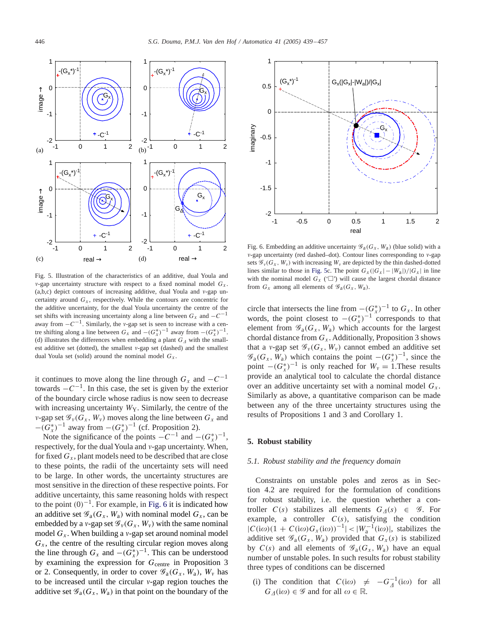<span id="page-7-0"></span>

Fig. 5. Illustration of the characteristics of an additive, dual Youla and v-gap uncertainty structure with respect to a fixed nominal model  $G_x$ .  $(a,b,c)$  depict contours of increasing additive, dual Youla and  $v$ -gap uncertainty around  $G_x$ , respectively. While the contours are concentric for the additive uncertainty, for the dual Youla uncertainty the centre of the set shifts with increasing uncertainty along a line between  $G_x$  and  $-C^{-1}$ away from  $-C^{-1}$ . Similarly, the v-gap set is seen to increase with a centre shifting along a line between  $G_x$  and  $-(G_x^*)^{-1}$  away from  $-(G_x^*)^{-1}$ . (d) illustrates the differences when embedding a plant  $G<sub>A</sub>$  with the smallest additive set (dotted), the smallest v-gap set (dashed) and the smallest dual Youla set (solid) around the nominal model  $G_x$ .

it continues to move along the line through  $G_x$  and  $-C^{-1}$ towards  $-C^{-1}$ . In this case, the set is given by the exterior of the boundary circle whose radius is now seen to decrease with increasing uncertainty  $W_Y$ . Similarly, the centre of the v-gap set  $\mathscr{G}_{v}(G_{x}, W_{v})$  moves along the line between  $G_{x}$  and  $-(G_x^*)^{-1}$  away from  $-(G_x^*)^{-1}$  (cf. Proposition 2).

Note the significance of the points  $-C^{-1}$  and  $-(G_x^*)^{-1}$ , respectively, for the dual Youla and  $v$ -gap uncertainty. When, for fixed  $G_x$ , plant models need to be described that are close to these points, the radii of the uncertainty sets will need to be large. In other words, the uncertainty structures are most sensitive in the direction of these respective points. For additive uncertainty, this same reasoning holds with respect to the point  $(0)^{-1}$ . For example, in Fig. 6 it is indicated how an additive set  $\mathscr{G}_a(G_x, W_a)$  with nominal model  $G_x$ , can be embedded by a v-gap set  $\mathscr{G}_{\nu}(G_x, W_{\nu})$  with the same nominal model  $G_x$ . When building a v-gap set around nominal model  $G_x$ , the centre of the resulting circular region moves along the line through  $G_x$  and  $-(G_x^*)^{-1}$ . This can be understood by examining the expression for  $G_{\text{centre}}$  in Proposition 3 or 2. Consequently, in order to cover  $\mathscr{G}_{a}(G_x, W_a)$ ,  $W_y$  has to be increased until the circular  $v$ -gap region touches the additive set  $\mathscr{G}_{a}(G_{x}, W_{a})$  in that point on the boundary of the



Fig. 6. Embedding an additive uncertainty  $\mathscr{G}_{a}(G_{x}, W_{a})$  (blue solid) with a  $v$ -gap uncertainty (red dashed–dot). Contour lines corresponding to  $v$ -gap sets  $\mathscr{G}_{v}(G_{x}, W_{v})$  with increasing  $W_{v}$  are depicted by the thin dashed-dotted lines similar to those in Fig. 5c. The point  $G_x(|G_x| - |W_a|)/|G_x|$  in line with the nominal model  $G_x$  ( $\Box$ ) will cause the largest chordal distance from  $G_x$  among all elements of  $\mathscr{G}_a(G_x, W_a)$ .

circle that intersects the line from  $-(G_x^*)^{-1}$  to  $G_x$ . In other words, the point closest to  $-(G_x^*)^{-1}$  corresponds to that element from  $\mathscr{G}_{a}(G_{x}, W_{a})$  which accounts for the largest chordal distance from  $G_x$ . Additionally, Proposition 3 shows that a v-gap set  $\mathscr{G}_{\nu}(G_x, W_{\nu})$  cannot embed an additive set  $\mathscr{G}_{a}(G_x, W_a)$  which contains the point  $-(G_x^*)^{-1}$ , since the point  $-(G_x^*)^{-1}$  is only reached for  $W_y = 1$ . These results provide an analytical tool to calculate the chordal distance over an additive uncertainty set with a nominal model  $G<sub>x</sub>$ . Similarly as above, a quantitative comparison can be made between any of the three uncertainty structures using the results of Propositions 1 and 3 and Corollary 1.

# **5. Robust stability**

# *5.1. Robust stability and the frequency domain*

Constraints on unstable poles and zeros as in Section  $4.2$  are required for the formulation of conditions for robust stability, i.e. the question whether a controller  $C(s)$  stabilizes all elements  $G_{\Lambda}(s) \in \mathcal{G}$ . For example, a controller  $C(s)$ , satisfying the condition  $|C(i\omega)(1 + C(i\omega)G_x(i\omega))^{-1}|$  <  $|W_a^{-1}(i\omega)|$ , stabilizes the additive set  $\mathscr{G}_a(G_x, W_a)$  provided that  $G_x(s)$  is stabilized by  $C(s)$  and all elements of  $\mathscr{G}_{a}(G_x, W_a)$  have an equal number of unstable poles. In such results for robust stability three types of conditions can be discerned

(i) The condition that  $C(i\omega) \neq -G_A^{-1}(i\omega)$  for all  $G_{\Delta}(\mathrm{i}\omega) \in \mathscr{G}$  and for all  $\omega \in \mathbb{R}$ .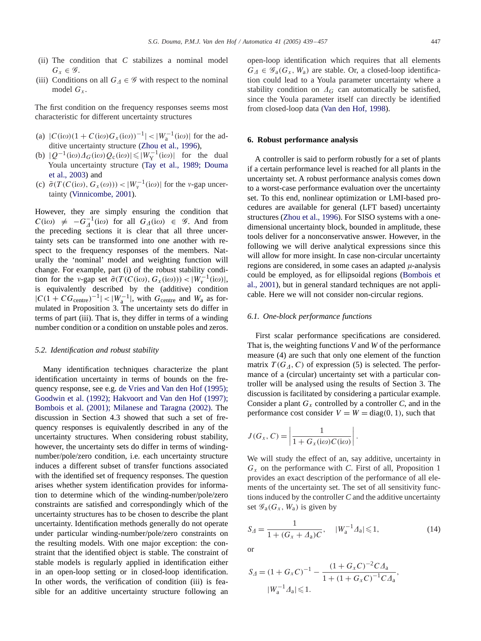- (ii) The condition that *C* stabilizes a nominal model  $G_x \in \mathscr{G}$ .
- (iii) Conditions on all  $G_A \in \mathcal{G}$  with respect to the nominal model  $G_x$ .

The first condition on the frequency responses seems most characteristic for different uncertainty structures

- (a)  $|C(i\omega)(1 + C(i\omega)G_x(i\omega))^{-1}|$  <  $|W_a^{-1}(i\omega)|$  for the additive uncertainty structure [\(Zhou et al., 1996\)](#page-18-0),
- (b)  $|Q^{-1}(i\omega)\Delta_G(i\omega)Q_c(i\omega)| \leq |W_Y^{-1}(i\omega)|$  for the dual Youla uncertainty structure (Tay et al., 1989; Douma et al., 2003) and
- (c)  $\bar{\sigma}(T(C(i\omega), G_x(\omega))) < |W_v^{-1}(i\omega)|$  for the v-gap uncertainty [\(Vinnicombe, 2001\)](#page-18-0).

However, they are simply ensuring the condition that  $C(i\omega) \neq -G_A^{-1}(i\omega)$  for all  $G_A(i\omega) \in \mathscr{G}$ . And from the preceding sections it is clear that all three uncertainty sets can be transformed into one another with respect to the frequency responses of the members. Naturally the 'nominal' model and weighting function will change. For example, part (i) of the robust stability condition for the v-gap set  $\bar{\sigma}(T(C(i\omega), G_x(i\omega))) < |W_v^{-1}(i\omega)|$ , is equivalently described by the (additive) condition  $|C(1 + CG<sub>centre</sub>)^{-1}| < |W_a^{-1}|$ , with  $G<sub>centre</sub>$  and  $W_a$  as formulated in Proposition 3. The uncertainty sets do differ in terms of part (iii). That is, they differ in terms of a winding number condition or a condition on unstable poles and zeros.

## *5.2. Identification and robust stability*

Many identification techniques characterize the plant identification uncertainty in terms of bounds on the frequency response, see e.g. de Vries and Van den Hof (1995); Goodwin et al. (1992); Hakvoort and Van den Hof (1997); Bombois et al. (2001); Milanese and Taragna (2002). The discussion in Section 4.3 showed that such a set of frequency responses is equivalently described in any of the uncertainty structures. When considering robust stability, however, the uncertainty sets do differ in terms of windingnumber/pole/zero condition, i.e. each uncertainty structure induces a different subset of transfer functions associated with the identified set of frequency responses. The question arises whether system identification provides for information to determine which of the winding-number/pole/zero constraints are satisfied and correspondingly which of the uncertainty structures has to be chosen to describe the plant uncertainty. Identification methods generally do not operate under particular winding-number/pole/zero constraints on the resulting models. With one major exception: the constraint that the identified object is stable. The constraint of stable models is regularly applied in identification either in an open-loop setting or in closed-loop identification. In other words, the verification of condition (iii) is feasible for an additive uncertainty structure following an open-loop identification which requires that all elements  $G_{\Delta} \in \mathscr{G}_{a}(G_{x}, W_{a})$  are stable. Or, a closed-loop identification could lead to a Youla parameter uncertainty where a stability condition on  $\Delta_G$  can automatically be satisfied, since the Youla parameter itself can directly be identified from closed-loop data [\(Van den Hof, 1998\)](#page-17-0).

# **6. Robust performance analysis**

A controller is said to perform robustly for a set of plants if a certain performance level is reached for all plants in the uncertainty set. A robust performance analysis comes down to a worst-case performance evaluation over the uncertainty set. To this end, nonlinear optimization or LMI-based procedures are available for general (LFT based) uncertainty structures [\(Zhou et al., 1996\)](#page-18-0). For SISO systems with a onedimensional uncertainty block, bounded in amplitude, these tools deliver for a nonconservative answer. However, in the following we will derive analytical expressions since this will allow for more insight. In case non-circular uncertainty regions are considered, in some cases an adapted  $\mu$ -analysis could be [employed,](#page-17-0) [as](#page-17-0) [for](#page-17-0) [ellipsoidal](#page-17-0) [regions](#page-17-0) [\(Bombois](#page-17-0) et al., 2001), but in general standard techniques are not applicable. Here we will not consider non-circular regions.

# *6.1. One-block performance functions*

First scalar performance specifications are considered. That is, the weighting functions *V* and *W* of the performance measure (4) are such that only one element of the function matrix  $T(G_A, C)$  of expression (5) is selected. The performance of a (circular) uncertainty set with a particular controller will be analysed using the results of Section 3. The discussion is facilitated by considering a particular example. Consider a plant  $G_x$  controlled by a controller *C*, and in the performance cost consider  $V = W = diag(0, 1)$ , such that

$$
J(G_x, C) = \left| \frac{1}{1 + G_x(i\omega)C(i\omega)} \right|.
$$

We will study the effect of an, say additive, uncertainty in  $G_x$  on the performance with *C*. First of all, Proposition 1 provides an exact description of the performance of all elements of the uncertainty set. The set of all sensitivity functions induced by the controller *C* and the additive uncertainty set  $\mathscr{G}_a(G_x, W_a)$  is given by

$$
S_{\Delta} = \frac{1}{1 + (G_x + A_a)C}, \quad |W_a^{-1} \Delta_a| \leq 1,
$$
\n(14)

or

$$
S_{\Delta} = (1 + G_x C)^{-1} - \frac{(1 + G_x C)^{-2} C \Delta_a}{1 + (1 + G_x C)^{-1} C \Delta_a},
$$
  

$$
|W_a^{-1} \Delta_a| \leq 1.
$$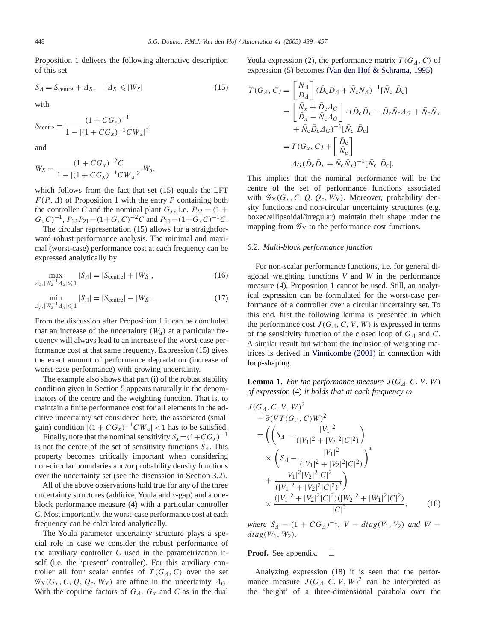Proposition 1 delivers the following alternative description of this set

$$
S_{\Delta} = S_{\text{centre}} + \Delta_S, \quad |\Delta_S| \leq |W_S| \tag{15}
$$

with

$$
S_{\text{centre}} = \frac{(1 + CG_x)^{-1}}{1 - |(1 + CG_x)^{-1}CW_a|^2}
$$

and

$$
W_S = \frac{(1 + CG_x)^{-2}C}{1 - |(1 + CG_x)^{-1}CW_a|^2} W_a,
$$

which follows from the fact that set (15) equals the LFT  $F(P, \Delta)$  of Proposition 1 with the entry *P* containing both the controller *C* and the nominal plant  $G_x$ , i.e.  $P_{22} = (1 +$  $G_x C$ <sup>-1</sup>,  $P_{12} P_{21} = (1 + G_x C)^{-2} C$  and  $P_{11} = (1 + G_x C)^{-1} C$ .

The circular representation (15) allows for a straightforward robust performance analysis. The minimal and maximal (worst-case) performance cost at each frequency can be expressed analytically by

$$
\max_{\Delta_{\rm a}, |W_{\rm a}^{-1}\Delta_{\rm a}| \le 1} |S_{\Delta}| = |S_{\rm centre}| + |W_{S}|,\tag{16}
$$

$$
\min_{\Delta_{a}, |W_{a}^{-1}\Delta_{a}| \leq 1} |S_{\Delta}| = |S_{\text{centre}}| - |W_{S}|. \tag{17}
$$

From the discussion after Proposition 1 it can be concluded that an increase of the uncertainty  $(W_a)$  at a particular frequency will always lead to an increase of the worst-case performance cost at that same frequency. Expression (15) gives the exact amount of performance degradation (increase of worst-case performance) with growing uncertainty.

The example also shows that part (i) of the robust stability condition given in Section 5 appears naturally in the denominators of the centre and the weighting function. That is, to maintain a finite performance cost for all elements in the additive uncertainty set considered here, the associated (small gain) condition  $|(1 + CG_x)^{-1}CW_a| < 1$  has to be satisfied.

Finally, note that the nominal sensitivity  $S_x = (1 + CG_x)^{-1}$ is not the centre of the set of sensitivity functions  $S_{\Lambda}$ . This property becomes critically important when considering non-circular boundaries and/or probability density functions over the uncertainty set (see the discussion in Section 3.2).

All of the above observations hold true for any of the three uncertainty structures (additive, Youla and  $v$ -gap) and a oneblock performance measure (4) with a particular controller *C*. Most importantly, the worst-case performance cost at each frequency can be calculated analytically.

The Youla parameter uncertainty structure plays a special role in case we consider the robust performance of the auxiliary controller  $C$  used in the parametrization itself (i.e. the 'present' controller). For this auxiliary controller all four scalar entries of  $T(G_A, C)$  over the set  $\mathscr{G}_{Y}(G_{x}, C, Q, Q_{c}, W_{Y})$  are affine in the uncertainty  $\varDelta_{G}$ . With the coprime factors of  $G_A$ ,  $G_x$  and C as in the dual

Youla expression (2), the performance matrix  $T(G_A, C)$  of expression (5) becomes [\(Van den Hof & Schrama, 1995\)](#page-18-0)

$$
T(G_A, C) = \begin{bmatrix} N_A \\ D_A \end{bmatrix} (\bar{D}_c D_A + \bar{N}_c N_A)^{-1} [\bar{N}_c \ \bar{D}_c]
$$
  
\n
$$
= \begin{bmatrix} \bar{N}_x + \bar{D}_c A_G \\ \bar{D}_x - \bar{N}_c A_G \end{bmatrix} \cdot (\bar{D}_c \bar{D}_x - \bar{D}_c \bar{N}_c A_G + \bar{N}_c \bar{N}_x
$$
  
\n
$$
+ \bar{N}_c \bar{D}_c A_G)^{-1} [\bar{N}_c \ \bar{D}_c]
$$
  
\n
$$
= T(G_x, C) + \begin{bmatrix} \bar{D}_c \\ \bar{N}_c \end{bmatrix}
$$
  
\n
$$
A_G(\bar{D}_c \bar{D}_x + \bar{N}_c \bar{N}_x)^{-1} [\bar{N}_c \ \bar{D}_c].
$$

This implies that the nominal performance will be the centre of the set of performance functions associated with  $\mathscr{G}_Y(G_X, C, Q, Q_c, W_Y)$ . Moreover, probability density functions and non-circular uncertainty structures (e.g. boxed/ellipsoidal/irregular) maintain their shape under the mapping from  $\mathscr{G}_Y$  to the performance cost functions.

# *6.2. Multi-block performance function*

For non-scalar performance functions, i.e. for general diagonal weighting functions *V* and *W* in the performance measure (4), Proposition 1 cannot be used. Still, an analytical expression can be formulated for the worst-case performance of a controller over a circular uncertainty set. To this end, first the following lemma is presented in which the performance cost  $J(G_A, C, V, W)$  is expressed in terms of the sensitivity function of the closed loop of  $G<sub>A</sub>$  and C. A similar result but without the inclusion of weighting matrices is derived in [Vinnicombe \(2001\)](#page-18-0) in connection with loop-shaping.

**Lemma 1.** For the performance measure  $J(G_A, C, V, W)$ *of expression* (4) *it holds that at each frequency*

$$
J(GA, C, V, W)2
$$
  
=  $\bar{\sigma}(VT(GA, C)W)2$   
=  $\left(\left(SA - \frac{|V_1|^2}{(|V_1|^2 + |V_2|^2|C|^2)}\right) \times \left(SA - \frac{|V_1|^2}{(|V_1|^2 + |V_2|^2|C|^2)}\right)^*$   
+  $\frac{|V_1|^2|V_2|^2|C|^2}{(|V_1|^2 + |V_2|^2|C|^2)^2}\right)$   
 $\times \frac{(|V_1|^2 + |V_2|^2|C|^2)(|W_2|^2 + |W_1|^2|C|^2)}{|C|^2},$  (18)

 $where S_{\Delta} = (1 + CG_{\Delta})^{-1}, V = diag(V_1, V_2)$  *and*  $W =$  $diag(W_1, W_2)$ .

#### **Proof.** See appendix.  $\Box$

Analyzing expression (18) it is seen that the performance measure  $J(G_A, C, V, W)^2$  can be interpreted as the 'height' of a three-dimensional parabola over the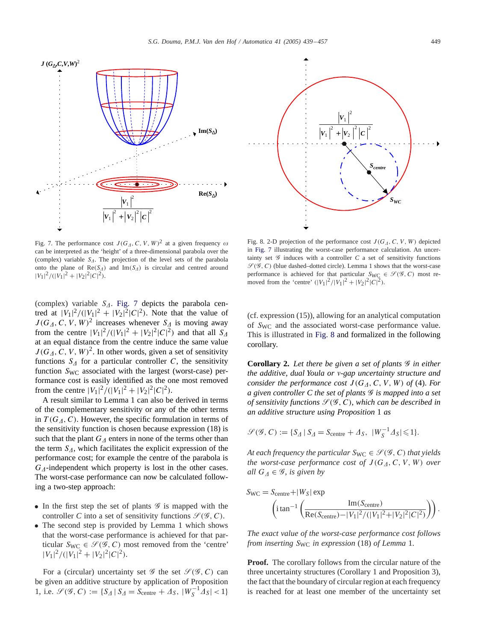<span id="page-10-0"></span>

Fig. 7. The performance cost  $J(G_A, C, V, W)^2$  at a given frequency  $\omega$ can be interpreted as the 'height' of a three-dimensional parabola over the (complex) variable  $S_A$ . The projection of the level sets of the parabola onto the plane of  $\text{Re}(S_A)$  and  $\text{Im}(S_A)$  is circular and centred around  $|V_1|^2/(|V_1|^2+|V_2|^2|C|^2).$ 

(complex) variable  $S_A$ . Fig. 7 depicts the parabola centred at  $|V_1|^2/(|V_1|^2 + |V_2|^2|C|^2)$ . Note that the value of  $J(G_A, C, V, W)^2$  increases whenever  $S_A$  is moving away from the centre  $|V_1|^2/(|V_1|^2 + |V_2|^2|C|^2)$  and that all  $S_A$ at an equal distance from the centre induce the same value  $J(G_A, C, V, W)^2$ . In other words, given a set of sensitivity functions  $S_A$  for a particular controller C, the sensitivity function  $S_{\text{WC}}$  associated with the largest (worst-case) performance cost is easily identified as the one most removed from the centre  $|V_1|^2/(|V_1|^2 + |V_2|^2 |C|^2)$ .

A result similar to Lemma 1 can also be derived in terms of the complementary sensitivity or any of the other terms in  $T(G_A, C)$ . However, the specific formulation in terms of the sensitivity function is chosen because expression (18) is such that the plant  $G_A$  enters in none of the terms other than the term  $S_{\Delta}$ , which facilitates the explicit expression of the performance cost; for example the centre of the parabola is  $G_{\Lambda}$ -independent which property is lost in the other cases. The worst-case performance can now be calculated following a two-step approach:

- In the first step the set of plants  $\mathscr G$  is mapped with the controller *C* into a set of sensitivity functions  $\mathcal{S}(\mathcal{G},C)$ .
- The second step is provided by Lemma 1 which shows that the worst-case performance is achieved for that particular  $S_{\text{WC}} \in \mathcal{S}(\mathcal{G}, C)$  most removed from the 'centre'  $|V_1|^2/(|V_1|^2+|V_2|^2|C|^2).$

For a (circular) uncertainty set  $\mathscr G$  the set  $\mathscr{S}(\mathscr G, C)$  can be given an additive structure by application of Proposition 1, i.e.  $\mathcal{S}(\mathcal{G}, C) := \{ S_{\Delta} | S_{\Delta} = S_{\text{centre}} + \Delta_S, |W_S^{-1} \Delta_S| < 1 \}$ 

*Scentre SWC* +  $V<sub>1</sub>$  $V_1$  +  $V_2$ 2 2  $|2|$   $|2|$   $|2$ *C*

Fig. 8. 2-D projection of the performance cost  $J(G_A, C, V, W)$  depicted in Fig. 7 illustrating the worst-case performance calculation. An uncertainty set  $G$  induces with a controller  $C$  a set of sensitivity functions  $\mathcal{S}(\mathcal{G}, C)$  (blue dashed–dotted circle). Lemma 1 shows that the worst-case performance is achieved for that particular  $S_{\text{WC}} \in \mathcal{S}(\mathcal{G}, C)$  most removed from the 'centre'  $(|V_1|^2/|V_1|^2 + |V_2|^2|C|^2)$ .

(cf. expression (15)), allowing for an analytical computation of S<sub>WC</sub> and the associated worst-case performance value. This is illustrated in Fig. 8 and formalized in the following corollary.

**Corollary 2.** Let there be given a set of plants  $\mathcal G$  in either *the additive*, *dual Youla or* -*gap uncertainty structure and consider the performance cost*  $J(G_A, C, V, W)$  *of* (4). *For a given controller C the set of plants* G *is mapped into a set of sensitivity functions*  $\mathcal{S}(\mathcal{G}, C)$ , *which can be described in an additive structure using Proposition* 1 *as*

$$
\mathcal{S}(\mathcal{G}, C) := \{ S_{\mathcal{A}} \mid S_{\mathcal{A}} = S_{\text{centre}} + \mathcal{A}_{S}, \ |W_{S}^{-1} \mathcal{A}_{S}| \leq 1 \}.
$$

*At each frequency the particular*  $S_{\text{WC}} \in \mathcal{S}(\mathcal{G}, C)$  *that yields the worst-case performance cost of*  $J(G_A, C, V, W)$  *over all*  $G_A \in \mathscr{G}$ , *is given by* 

$$
S_{\rm WC} = S_{\rm centre} + |W_S| \exp \left( i \tan^{-1} \left( \frac{\text{Im}(S_{\rm centre})}{\text{Re}(S_{\rm centre}) - |V_1|^2 / (|V_1|^2 + |V_2|^2 |C|^2)} \right) \right).
$$

*The exact value of the worst-case performance cost follows from inserting* SWC *in expression* (18) *of Lemma* 1.

**Proof.** The corollary follows from the circular nature of the three uncertainty structures (Corollary 1 and Proposition 3), the fact that the boundary of circular region at each frequency is reached for at least one member of the uncertainty set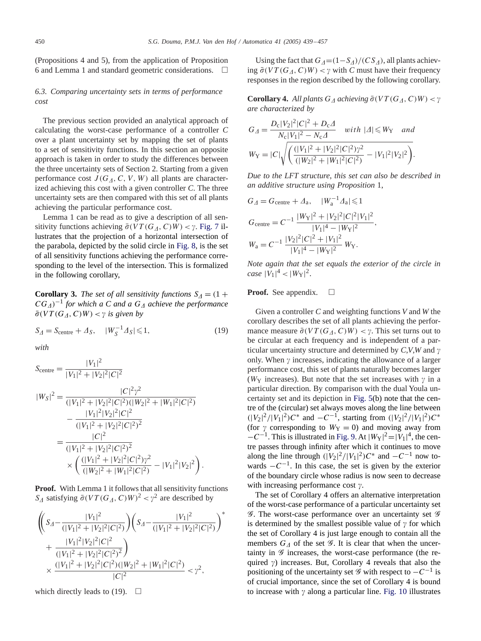(Propositions 4 and 5), from the application of Proposition 6 and Lemma 1 and standard geometric considerations.  $\Box$ 

# *6.3. Comparing uncertainty sets in terms of performance cost*

The previous section provided an analytical approach of calculating the worst-case performance of a controller *C* over a plant uncertainty set by mapping the set of plants to a set of sensitivity functions. In this section an opposite approach is taken in order to study the differences between the three uncertainty sets of Section 2. Starting from a given performance cost  $J(G_A, C, V, W)$  all plants are characterized achieving this cost with a given controller *C*. The three uncertainty sets are then comparedwith this set of all plants achieving the particular performance cost.

Lemma 1 can be read as to give a description of all sensitivity functions achieving  $\bar{\sigma}(VT(G_A, C)W) < \gamma$ . [Fig. 7](#page-10-0) illustrates that the projection of a horizontal intersection of the parabola, depicted by the solid circle in [Fig. 8,](#page-10-0) is the set of all sensitivity functions achieving the performance corresponding to the level of the intersection. This is formalized in the following corollary,

**Corollary 3.** *The set of all sensitivity functions*  $S_4 = (1 +$  $CG_A)^{-1}$  for which a C and a  $G_A$  achieve the performance  $\bar{\sigma}(VT(G_A, C)W) < \gamma$  is given by

$$
S_{\Delta} = S_{\text{centre}} + \Delta_S, \quad |W_S^{-1} \Delta_S| \leq 1,\tag{19}
$$

*with*

$$
S_{\text{centre}} = \frac{|V_1|^2}{|V_1|^2 + |V_2|^2 |C|^2}
$$
  
\n
$$
|W_S|^2 = \frac{|C|^2 \gamma^2}{(|V_1|^2 + |V_2|^2 |C|^2) (|W_2|^2 + |W_1|^2 |C|^2)}
$$
  
\n
$$
- \frac{|V_1|^2 |V_2|^2 |C|^2}{(|V_1|^2 + |V_2|^2 |C|^2)^2}
$$
  
\n
$$
= \frac{|C|^2}{(|V_1|^2 + |V_2|^2 |C|^2)^2}
$$
  
\n
$$
\times \left(\frac{(|V_1|^2 + |V_2|^2 |C|^2) \gamma^2}{(|W_2|^2 + |W_1|^2 |C|^2)} - |V_1|^2 |V_2|^2\right).
$$

**Proof.** With Lemma 1 it follows that all sensitivity functions  $S_{\Delta}$  satisfying  $\bar{\sigma}(VT(G_{\Delta}, C)W)^{2} < \gamma^{2}$  are described by

$$
\begin{aligned} &\left( \left( S_{\mathit{A}} - \frac{|V_{1}|^{2}}{(|V_{1}|^{2} + |V_{2}|^{2}|C|^{2})} \right) \left( S_{\mathit{A}} - \frac{|V_{1}|^{2}}{(|V_{1}|^{2} + |V_{2}|^{2}|C|^{2})} \right)^{*} \right. \\ &\left. + \frac{|V_{1}|^{2}|V_{2}|^{2}|C|^{2}}{(|V_{1}|^{2} + |V_{2}|^{2}|C|^{2})^{2}} \right) \\ &\times \frac{(|V_{1}|^{2} + |V_{2}|^{2}|C|^{2})(|W_{2}|^{2} + |W_{1}|^{2}|C|^{2})}{|C|^{2}} < \gamma^{2}, \end{aligned}
$$

which directly leads to (19).  $\Box$ 

Using the fact that  $G_{\Delta} = (1 - S_{\Delta})/(CS_{\Delta})$ , all plants achieving  $\bar{\sigma}(VT(G_A, C)W) < \gamma$  with *C* must have their frequency responses in the region described by the following corollary.

**Corollary 4.** All plants  $G_A$  achieving  $\bar{\sigma}(VT(G_A, C)W) < \gamma$ *are characterized by*

$$
G_{\varDelta} = \frac{D_{\rm c}|V_2|^2|C|^2 + D_{\rm c}\varDelta}{N_{\rm c}|V_1|^2 - N_{\rm c}\varDelta} \quad with \ | \varDelta | \leqslant W_{\rm Y} \quad and
$$
  

$$
W_{\rm Y} = |C| \sqrt{\left(\frac{(|V_1|^2 + |V_2|^2|C|^2)\gamma^2}{(|W_2|^2 + |W_1|^2|C|^2)} - |V_1|^2|V_2|^2\right)}.
$$

*Due to the LFT structure*, *this set can also be described in an additive structure using Proposition* 1,

$$
G_{\varDelta} = G_{\text{centre}} + \varDelta_{\text{a}}, \quad |W_{\text{a}}^{-1}\varDelta_{\text{a}}| \leq 1
$$
  
\n
$$
G_{\text{centre}} = C^{-1} \frac{|W_{\text{Y}}|^2 + |V_{\text{2}}|^2 |C|^2 |V_{\text{1}}|^2}{|V_{\text{1}}|^4 - |W_{\text{Y}}|^2},
$$
  
\n
$$
W_{\text{a}} = C^{-1} \frac{|V_{\text{2}}|^2 |C|^2 + |V_{\text{1}}|^2}{|V_{\text{1}}|^4 - |W_{\text{Y}}|^2} W_{\text{Y}}.
$$

*Note again that the set equals the exterior of the circle in case*  $|V_1|^4 < |W_Y|^2$ .

Proof. See appendix.  $\Box$ 

Given a controller *C* andweighting functions *V* and *W* the corollary describes the set of all plants achieving the performance measure  $\bar{\sigma}(VT(G_A, C)W) < \gamma$ . This set turns out to be circular at each frequency and is independent of a particular uncertainty structure and determined by  $C$ , $V$ , $W$  and  $\gamma$ only. When  $\gamma$  increases, indicating the allowance of a larger performance cost, this set of plants naturally becomes larger ( $W_Y$  increases). But note that the set increases with  $\gamma$  in a particular direction. By comparison with the dual Youla un-certainty set and its depiction in [Fig. 5\(](#page-7-0)b) note that the centre of the (circular) set always moves along the line between  $(|V_2|^2/|V_1|^2)C^*$  and  $-C^{-1}$ , starting from  $(|V_2|^2/|V_1|^2)C^*$ (for  $\gamma$  corresponding to  $W_Y = 0$ ) and moving away from  $-C^{-1}$ . This is illustrated in [Fig. 9.](#page-12-0) At  $|W_Y|^2 = |V_1|^4$ , the centre passes through infinity after which it continues to move along the line through  $(|V_2|^2/|V_1|^2)C^*$  and  $-C^{-1}$  now towards  $-C^{-1}$ . In this case, the set is given by the exterior of the boundary circle whose radius is now seen to decrease with increasing performance cost  $\gamma$ .

The set of Corollary 4 offers an alternative interpretation of the worst-case performance of a particular uncertainty set  $\mathscr G$ . The worst-case performance over an uncertainty set  $\mathscr G$ is determined by the smallest possible value of  $\gamma$  for which the set of Corollary 4 is just large enough to contain all the members  $G_{\Lambda}$  of the set  $\mathscr G$ . It is clear that when the uncertainty in  $\mathscr G$  increases, the worst-case performance (the required  $\gamma$ ) increases. But, Corollary 4 reveals that also the positioning of the uncertainty set  $\mathscr G$  with respect to  $-C^{-1}$  is of crucial importance, since the set of Corollary 4 is bound to increase with  $\gamma$  along a particular line. [Fig. 10](#page-12-0) illustrates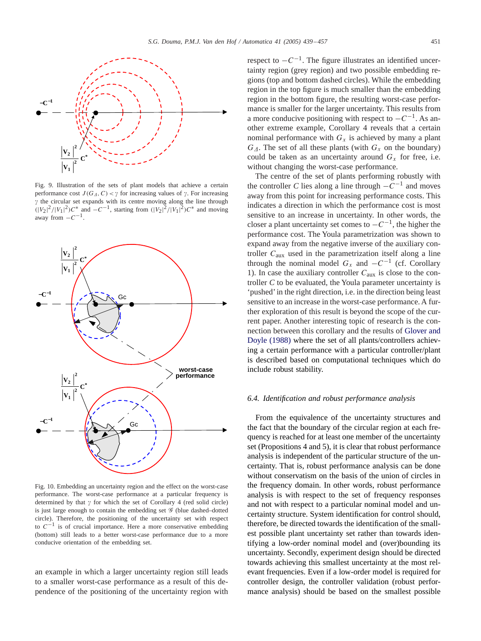<span id="page-12-0"></span>

Fig. 9. Illustration of the sets of plant models that achieve a certain performance cost  $J(G_A, C) < \gamma$  for increasing values of  $\gamma$ . For increasing  $\gamma$  the circular set expands with its centre moving along the line through  $(|V_2|^2/|V_1|^2)C^*$  and  $-C^{-1}$ , starting from  $(|V_2|^2/|V_1|^2)C^*$  and moving away from  $-C^{-1}$ .



Fig. 10. Embedding an uncertainty region and the effect on the worst-case performance. The worst-case performance at a particular frequency is determined by that  $\gamma$  for which the set of Corollary 4 (red solid circle) is just large enough to contain the embedding set  $\mathscr G$  (blue dashed–dotted circle). Therefore, the positioning of the uncertainty set with respect to  $C^{-1}$  is of crucial importance. Here a more conservative embedding (bottom) still leads to a better worst-case performance due to a more conducive orientation of the embedding set.

an example in which a larger uncertainty region still leads to a smaller worst-case performance as a result of this dependence of the positioning of the uncertainty region with respect to  $-C^{-1}$ . The figure illustrates an identified uncertainty region (grey region) and two possible embedding regions (top and bottom dashed circles). While the embedding region in the top figure is much smaller than the embedding region in the bottom figure, the resulting worst-case performance is smaller for the larger uncertainty. This results from a more conducive positioning with respect to  $-C^{-1}$ . As another extreme example, Corollary 4 reveals that a certain nominal performance with  $G_x$  is achieved by many a plant  $G_{\Lambda}$ . The set of all these plants (with  $G_x$  on the boundary) could be taken as an uncertainty around  $G_x$  for free, i.e. without changing the worst-case performance.

The centre of the set of plants performing robustly with the controller *C* lies along a line through  $-C^{-1}$  and moves away from this point for increasing performance costs. This indicates a direction in which the performance cost is most sensitive to an increase in uncertainty. In other words, the closer a plant uncertainty set comes to  $-C^{-1}$ , the higher the performance cost. The Youla parametrization was shown to expand away from the negative inverse of the auxiliary controller  $C_{\text{aux}}$  used in the parametrization itself along a line through the nominal model  $G_x$  and  $-C^{-1}$  (cf. Corollary 1). In case the auxiliary controller  $C_{\text{aux}}$  is close to the controller *C* to be evaluated, the Youla parameter uncertainty is 'pushed' in the right direction, i.e. in the direction being least sensitive to an increase in the worst-case performance. A further exploration of this result is beyond the scope of the current paper. Another interesting topic of research is the con-nection between this corollary and the results of [Glover and](#page-17-0) [Doyle \(1988\)](#page-17-0) where the set of all plants/controllers achieving a certain performance with a particular controller/plant is described based on computational techniques which do include robust stability.

## *6.4. Identification and robust performance analysis*

From the equivalence of the uncertainty structures and the fact that the boundary of the circular region at each frequency is reached for at least one member of the uncertainty set (Propositions 4 and 5), it is clear that robust performance analysis is independent of the particular structure of the uncertainty. That is, robust performance analysis can be done without conservatism on the basis of the union of circles in the frequency domain. In other words, robust performance analysis is with respect to the set of frequency responses and not with respect to a particular nominal model and uncertainty structure. System identification for control should, therefore, be directed towards the identification of the smallest possible plant uncertainty set rather than towards identifying a low-order nominal model and (over)bounding its uncertainty. Secondly, experiment design should be directed towards achieving this smallest uncertainty at the most relevant frequencies. Even if a low-order model is required for controller design, the controller validation (robust performance analysis) should be based on the smallest possible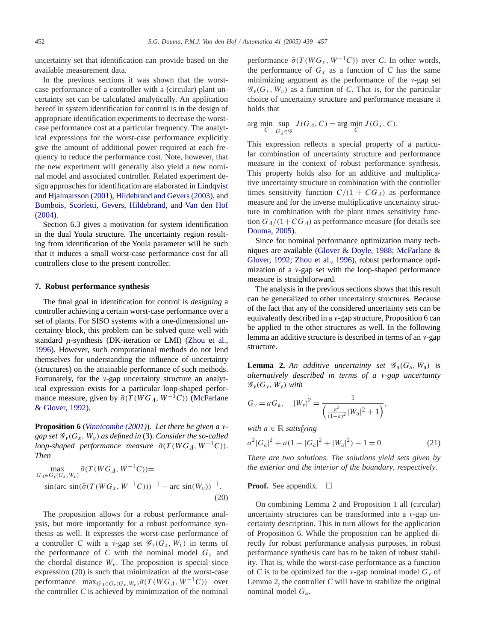uncertainty set that identification can provide based on the available measurement data.

In the previous sections it was shown that the worstcase performance of a controller with a (circular) plant uncertainty set can be calculated analytically. An application hereof in system identification for control is in the design of appropriate identification experiments to decrease the worstcase performance cost at a particular frequency. The analytical expressions for the worst-case performance explicitly give the amount of additional power required at each frequency to reduce the performance cost. Note, however, that the new experiment will generally also yield a new nominal model and associated controller. Related experiment design approaches for identification are elaborated in [Lindqvist](#page-17-0) and Hjalmarsson (2001), Hildebrand and Gevers (2003), and [Bombois, Scorletti, Gevers, Hildebrand, and Van den Hof](#page-17-0) [\(2004\).](#page-17-0)

Section 6.3 gives a motivation for system identification in the dual Youla structure. The uncertainty region resulting from identification of the Youla parameter will be such that it induces a small worst-case performance cost for all controllers close to the present controller.

# **7. Robust performance synthesis**

The final goal in identification for control is *designing* a controller achieving a certain worst-case performance over a set of plants. For SISO systems with a one-dimensional uncertainty block, this problem can be solved quite well with standard  $\mu$ -synthesis (DK-iteration or LMI) [\(Zhou et al.,](#page-18-0) [1996\)](#page-18-0). However, such computational methods do not lend themselves for understanding the influence of uncertainty (structures) on the attainable performance of such methods. Fortunately, for the  $v$ -gap uncertainty structure an analytical expression exists for a particular loop-shaped performance measure, given by  $\bar{\sigma}(T(WG_A, W^{-1}C))$  [\(McFarlane](#page-17-0) [& Glover, 1992\)](#page-17-0).

**Proposition 6** (*Vinnicombe* (2001)). Let there be given a v*gap set*  $\mathscr{G}_{v}(G_{x}, W_{v})$  *as defined in* (3). *Consider the so-called* loop-shaped performance measure  $\bar{\sigma}(T(WG_A, W^{-1}C)).$ *Then*

$$
\max_{G_A \in G_v(G_x, W_v)} \bar{\sigma}(T(WG_A, W^{-1}C)) = \sin(\arctan(\bar{\sigma}(T(WG_x, W^{-1}C)))^{-1} - \arcsin(W_v))^{-1}.
$$
\n(20)

The proposition allows for a robust performance analysis, but more importantly for a robust performance synthesis as well. It expresses the worst-case performance of a controller *C* with a v-gap set  $\mathcal{G}_v(G_x, W_v)$  in terms of the performance of  $C$  with the nominal model  $G_x$  and the chordal distance  $W_v$ . The proposition is special since expression (20) is such that minimization of the worst-case performance  $\max_{G_A \in G_v(G_x, W_v)} \bar{\sigma}(T(WG_A, W^{-1}C))$  over the controller  $C$  is achieved by minimization of the nominal performance  $\bar{\sigma}(T(WG_x, W^{-1}C))$  over *C*. In other words, the performance of  $G_x$  as a function of  $C$  has the same minimizing argument as the performance of the  $v$ -gap set  $\mathscr{G}_{\nu}(G_{x}, W_{\nu})$  as a function of *C*. That is, for the particular choice of uncertainty structure and performance measure it holds that

$$
\arg\min_{C} \sup_{G_{\Delta} \in \mathcal{G}} J(G_{\Delta}, C) = \arg\min_{C} J(G_{x}, C).
$$

This expression reflects a special property of a particular combination of uncertainty structure and performance measure in the context of robust performance synthesis. This property holds also for an additive and multiplicative uncertainty structure in combination with the controller times sensitivity function  $C/(1 + CG_A)$  as performance measure and for the inverse multiplicative uncertainty structure in combination with the plant times sensitivity function  $G_{\Delta}/(1+CG_{\Delta})$  as performance measure (for details see [Douma, 2005\)](#page-17-0).

Since for nominal performance optimization many techniques are available (Glover & Doyle, 1988; McFarlane & Glover, 1992; Zhou et al., 1996), robust performance optimization of a  $v$ -gap set with the loop-shaped performance measure is straightforward.

The analysis in the previous sections shows that this result can be generalized to other uncertainty structures. Because of the fact that any of the considered uncertainty sets can be equivalently described in a  $\nu$ -gap structure, Proposition 6 can be applied to the other structures as well. In the following lemma an additive structure is described in terms of an  $v$ -gap structure.

**Lemma 2.** An additive uncertainty set  $\mathscr{G}_{a}(G_{a}, W_{a})$  is *alternatively described in terms of a v-gap uncertainty*  $\mathscr{G}_{\nu}(G_{\nu}, W_{\nu})$  *with* 

$$
G_v = aG_a
$$
,  $|W_v|^2 = \frac{1}{\left(\frac{a^2}{(1-a)^2}|W_a|^2 + 1\right)}$ ,

*with*  $a \in \mathbb{R}$  *satisfying* 

$$
a^{2}|G_{a}|^{2} + a(1 - |G_{a}|^{2} + |W_{a}|^{2}) - 1 = 0.
$$
 (21)

*There are two solutions. The solutions yield sets given by the exterior and the interior of the boundary*, *respectively*.

# **Proof.** See appendix.  $\Box$

On combining Lemma 2 and Proposition 1 all (circular) uncertainty structures can be transformed into a  $v$ -gap uncertainty description. This in turn allows for the application of Proposition 6. While the proposition can be applied directly for robust performance analysis purposes, in robust performance synthesis care has to be taken of robust stability. That is, while the worst-case performance as a function of *C* is to be optimized for the *v*-gap nominal model  $G_v$  of Lemma 2, the controller *C* will have to stabilize the original nominal model  $G_a$ .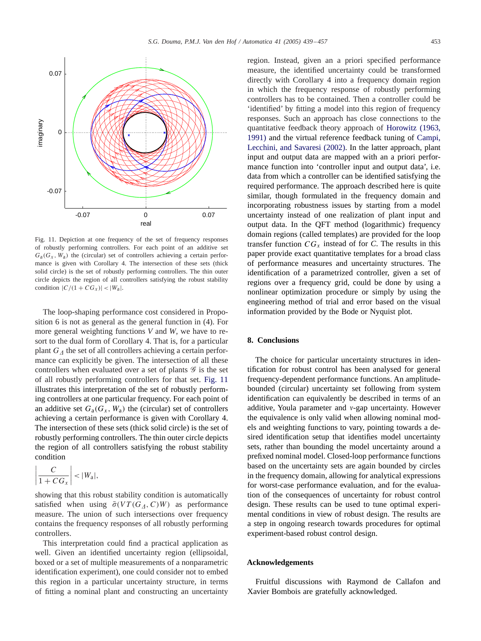

Fig. 11. Depiction at one frequency of the set of frequency responses of robustly performing controllers. For each point of an additive set  $G_{a}(G_{x}, W_{a})$  the (circular) set of controllers achieving a certain performance is given with Corollary 4. The intersection of these sets (thick solid circle) is the set of robustly performing controllers. The thin outer circle depicts the region of all controllers satisfying the robust stability condition  $|C/(1 + CG_x)| < |W_a|$ .

The loop-shaping performance cost considered in Proposition 6 is not as general as the general function in (4). For more general weighting functions *V* and *W*, we have to resort to the dual form of Corollary 4. That is, for a particular plant  $G_A$  the set of all controllers achieving a certain performance can explicitly be given. The intersection of all these controllers when evaluated over a set of plants  $\mathscr G$  is the set of all robustly performing controllers for that set. Fig. 11 illustrates this interpretation of the set of robustly performing controllers at one particular frequency. For each point of an additive set  $G_a(G_x, W_a)$  the (circular) set of controllers achieving a certain performance is given with Corollary 4. The intersection of these sets (thick solid circle) is the set of robustly performing controllers. The thin outer circle depicts the region of all controllers satisfying the robust stability condition

$$
\left|\frac{C}{1+CG_x}\right| < |W_a|,
$$

showing that this robust stability condition is automatically satisfied when using  $\bar{\sigma}(VT(G_A, C)W)$  as performance measure. The union of such intersections over frequency contains the frequency responses of all robustly performing controllers.

This interpretation could find a practical application as well. Given an identified uncertainty region (ellipsoidal, boxed or a set of multiple measurements of a nonparametric identification experiment), one could consider not to embed this region in a particular uncertainty structure, in terms of fitting a nominal plant andconstructing an uncertainty region. Instead, given an a priori specified performance measure, the identified uncertainty could be transformed directly with Corollary 4 into a frequency domain region in which the frequency response of robustly performing controllers has to be contained. Then a controller could be 'identified' by fitting a model into this region of frequency responses. Such an approach has close connections to the quantitative feedback theory approach of Horowitz (1963, 1991) and the virtual reference feedback tuning of [Campi,](#page-17-0) Lecchini, and Savaresi (2002). In the latter approach, plant input and output data are mapped with an a priori performance function into 'controller input and output data', i.e. data from which a controller can be identified satisfying the required performance. The approach described here is quite similar, though formulated in the frequency domain and incorporating robustness issues by starting from a model uncertainty instead of one realization of plant input and output data. In the QFT method (logarithmic) frequency domain regions (called templates) are provided for the loop transfer function  $CG_x$  instead of for *C*. The results in this paper provide exact quantitative templates for a broad class of performance measures anduncertainty structures. The identification of a parametrized controller, given a set of regions over a frequency grid, could be done by using a nonlinear optimization procedure or simply by using the engineering method of trial and error based on the visual information provided by the Bode or Nyquist plot.

# **8. Conclusions**

The choice for particular uncertainty structures in identification for robust control has been analysed for general frequency-dependent performance functions. An amplitudebounded (circular) uncertainty set following from system identification can equivalently be described in terms of an additive, Youla parameter and  $v$ -gap uncertainty. However the equivalence is only valid when allowing nominal models and weighting functions to vary, pointing towards a desired identification setup that identifies model uncertainty sets, rather than bounding the model uncertainty around a prefixed nominal model. Closed-loop performance functions based on the uncertainty sets are again bounded by circles in the frequency domain, allowing for analytical expressions for worst-case performance evaluation, and for the evaluation of the consequences of uncertainty for robust control design. These results can be used to tune optimal experimental conditions in view of robust design. The results are a step in ongoing research towards procedures for optimal experiment-based robust control design.

# **Acknowledgements**

Fruitful discussions with Raymond de Callafon and Xavier Bombois are gratefully acknowledged.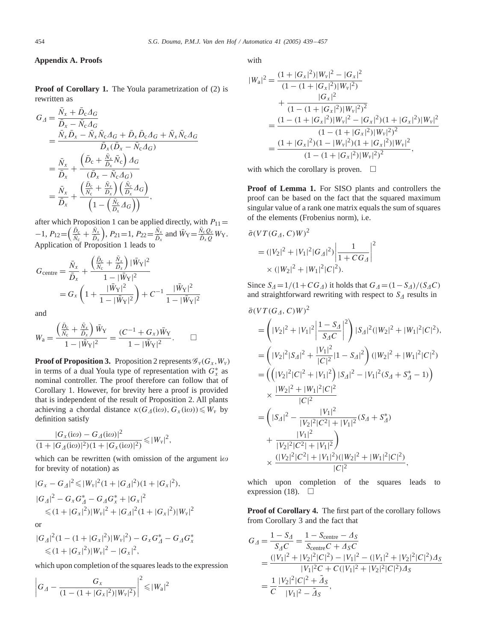# **Appendix A. Proofs**

**Proof of Corollary 1.** The Youla parametrization of (2) is rewritten as

$$
G_{\varDelta} = \frac{\bar{N}_x + \bar{D}_c \varDelta_G}{\bar{D}_x - \bar{N}_c \varDelta_G} \n= \frac{\bar{N}_x \bar{D}_x - \bar{N}_x \bar{N}_c \varDelta_G + \bar{D}_x \bar{D}_c \varDelta_G + \bar{N}_x \bar{N}_c \varDelta_G}{\bar{D}_x (\bar{D}_x - \bar{N}_c \varDelta_G)} \n= \frac{\bar{N}_x}{\bar{D}_x} + \frac{(\bar{D}_c + \frac{\bar{N}_x}{\bar{D}_x} \bar{N}_c) \varDelta_G}{(\bar{D}_x - \bar{N}_c \varDelta_G)} \n= \frac{\bar{N}_x}{\bar{D}_x} + \frac{(\frac{\bar{D}_c}{\bar{N}_c} + \frac{\bar{N}_x}{\bar{D}_x})(\frac{\bar{N}_c}{\bar{D}_x} \varDelta_G)}{(1 - (\frac{\bar{N}_c}{\bar{D}_x} \varDelta_G))},
$$

after which Proposition 1 can be applied directly, with  $P_{11}$  =  $-1, P_{12} = \left(\frac{\bar{D}_{\rm c}}{\bar{N}_{\rm c}} + \frac{\bar{N}_{\rm x}}{\bar{D}_{\rm x}}\right)$ ),  $P_{21} = 1$ ,  $P_{22} = \frac{\bar{N}_x}{\bar{D}_x}$  and  $\bar{W}_Y = \frac{\bar{N}_c Q_c}{\bar{D}_x Q} W_Y$ . Application of Proposition 1 leads to

$$
G_{\text{centre}} = \frac{\bar{N}_x}{\bar{D}_x} + \frac{\left(\frac{\bar{D}_c}{\bar{N}_c} + \frac{\bar{N}_x}{\bar{D}_x}\right) |\bar{W}_Y|^2}{1 - |\bar{W}_Y|^2}
$$
  
=  $G_x \left(1 + \frac{|\bar{W}_Y|^2}{1 - |\bar{W}_Y|^2}\right) + C^{-1} \frac{|\bar{W}_Y|^2}{1 - |\bar{W}_Y|^2}$ 

and

$$
W_{\rm a} = \frac{\left(\frac{\bar{D}_{\rm c}}{\bar{N}_{\rm c}} + \frac{\bar{N}_{\rm x}}{\bar{D}_{\rm x}}\right)\bar{W}_{\rm Y}}{1 - |\bar{W}_{\rm Y}|^2} = \frac{(C^{-1} + G_{\rm x})\bar{W}_{\rm Y}}{1 - |\bar{W}_{\rm Y}|^2}.
$$

**Proof of Proposition 3.** Proposition 2 represents  $\mathscr{G}_{\nu}(G_x, W_y)$ in terms of a dual Youla type of representation with  $G_x^*$  as nominal controller. The proof therefore can follow that of Corollary 1. However, for brevity here a proof is provided that is independent of the result of Proposition 2. All plants achieving a chordal distance  $\kappa(G_A(i\omega), G_x(i\omega)) \leq W_y$  by definition satisfy

$$
\frac{|G_{x}(i\omega) - G_{\varDelta}(i\omega)|^{2}}{(1 + |G_{\varDelta}(i\omega)|^{2})(1 + |G_{x}(i\omega)|^{2})} \leq |W_{\nu}|^{2},
$$

which can be rewritten (with omission of the argument i $\omega$ for brevity of notation) as

$$
|G_x - G_{\Delta}|^2 \le |W_v|^2 (1 + |G_{\Delta}|^2)(1 + |G_x|^2),
$$
  
\n
$$
|G_{\Delta}|^2 - G_x G_{\Delta}^* - G_{\Delta} G_x^* + |G_x|^2
$$
  
\n
$$
\le (1 + |G_x|^2)|W_v|^2 + |G_{\Delta}|^2 (1 + |G_x|^2)|W_v|^2
$$

or

$$
|G_{\Delta}|^{2}(1-(1+|G_{x}|^{2})|W_{y}|^{2})-G_{x}G_{\Delta}^{*}-G_{\Delta}G_{x}^{*}\leq (1+|G_{x}|^{2})|W_{y}|^{2}-|G_{x}|^{2},
$$

which upon completion of the squares leads to the expression

$$
\left|G_{\Lambda} - \frac{G_x}{(1 - (1 + |G_x|^2)|W_v|^2)}\right|^2 \leq |W_a|^2
$$

with

$$
|W_{\rm a}|^2 = \frac{(1+|G_x|^2)|W_v|^2 - |G_x|^2}{(1-(1+|G_x|^2)|W_v|^2)}
$$
  
+ 
$$
\frac{|G_x|^2}{(1-(1+|G_x|^2)|W_v|^2)^2}
$$
  
= 
$$
\frac{(1-(1+|G_x|^2)|W_v|^2 - |G_x|^2)(1+|G_x|^2)|W_v|^2}{(1-(1+|G_x|^2)|W_v|^2)^2}
$$
  
= 
$$
\frac{(1+|G_x|^2)(1-|W_v|^2)(1+|G_x|^2)|W_v|^2}{(1-(1+|G_x|^2)|W_v|^2)^2},
$$

with which the corollary is proven.  $\Box$ 

**Proof of Lemma 1.** For SISO plants and controllers the proof can be based on the fact that the squared maximum singular value of a rank one matrix equals the sum of squares of the elements (Frobenius norm), i.e.

$$
\bar{\sigma}(VT(G_A, C)W)^2
$$
  
=  $(|V_2|^2 + |V_1|^2|G_A|^2)\left|\frac{1}{1 + CG_A}\right|^2$   
 $\times (|W_2|^2 + |W_1|^2|C|^2).$ 

Since  $S_{\Delta} = 1/(1 + CG_{\Delta})$  it holds that  $G_{\Delta} = (1 - S_{\Delta})/(S_{\Delta}C)$ and straightforward rewriting with respect to  $S<sub>A</sub>$  results in

$$
\bar{\sigma}(VT(G_A, C)W)^2
$$
\n
$$
= \left(|V_2|^2 + |V_1|^2 \left| \frac{1 - S_A}{S_A C} \right|^2 \right) |S_A|^2 (|W_2|^2 + |W_1|^2 |C|^2),
$$
\n
$$
= \left(|V_2|^2 |S_A|^2 + \frac{|V_1|^2}{|C|^2} |1 - S_A|^2 \right) (|W_2|^2 + |W_1|^2 |C|^2)
$$
\n
$$
= \left(\left(|V_2|^2 |C|^2 + |V_1|^2\right) |S_A|^2 - |V_1|^2 (S_A + S_A^* - 1) \right)
$$
\n
$$
\times \frac{|W_2|^2 + |W_1|^2 |C|^2}{|C|^2}
$$
\n
$$
= \left(|S_A|^2 - \frac{|V_1|^2}{|V_2|^2 |C^2| + |V_1|^2} (S_A + S_A^*) \right)
$$
\n
$$
+ \frac{|V_1|^2}{|V_2|^2 |C^2| + |V_1|^2} \right)
$$
\n
$$
\times \frac{(|V_2|^2 |C^2| + |V_1|^2) (|W_2|^2 + |W_1|^2 |C|^2)}{|C|^2},
$$

which upon completion of the squares leads to expression (18).  $\Box$ 

**Proof of Corollary4.** The first part of the corollary follows from Corollary 3 and the fact that

$$
G_{\Delta} = \frac{1 - S_{\Delta}}{S_{\Delta}C} = \frac{1 - S_{\text{centre}} - \Delta_S}{S_{\text{centre}}C + \Delta_S C}
$$
  
= 
$$
\frac{(|V_1|^2 + |V_2|^2|C|^2) - |V_1|^2 - (|V_1|^2 + |V_2|^2|C|^2)\Delta_S}{|V_1|^2C + C(|V_1|^2 + |V_2|^2|C|^2)\Delta_S}
$$
  
= 
$$
\frac{1}{C} \frac{|V_2|^2|C|^2 + \Delta_S}{|V_1|^2 - \Delta_S},
$$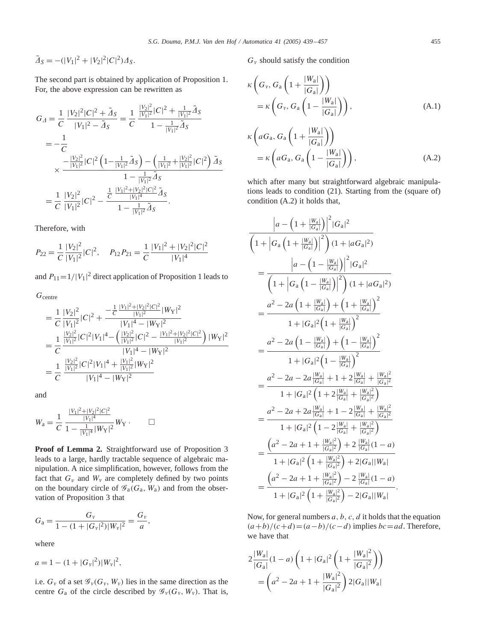$$
\tilde{\varDelta}_S = -(|V_1|^2 + |V_2|^2 |C|^2) \varDelta_S.
$$

The second part is obtained by application of Proposition 1. For, the above expression can be rewritten as

$$
G_{\Delta} = \frac{1}{C} \frac{|V_2|^2 |C|^2 + \tilde{\Delta}_S}{|V_1|^2 - \tilde{\Delta}_S} = \frac{1}{C} \frac{\frac{|V_2|^2}{|V_1|^2} |C|^2 + \frac{1}{|V_1|^2} \tilde{\Delta}_S}{1 - \frac{1}{|V_1|^2} \tilde{\Delta}_S}
$$
  
\n
$$
= -\frac{1}{C}
$$
  
\n
$$
\times \frac{-\frac{|V_2|^2}{|V_1|^2} |C|^2 \left(1 - \frac{1}{|V_1|^2} \tilde{\Delta}_S\right) - \left(\frac{1}{|V_1|^2} + \frac{|V_2|^2}{|V_1|^2} |C|^2\right) \tilde{\Delta}_S}{1 - \frac{1}{|V_1|^2} \tilde{\Delta}_S}
$$
  
\n
$$
= \frac{1}{C} \frac{|V_2|^2}{|V_1|^2} |C|^2 - \frac{\frac{1}{C} \frac{|V_1|^2 + |V_2|^2 |C|^2}{|V_1|^4} \tilde{\Delta}_S}{1 - \frac{1}{|V_1|^2} \tilde{\Delta}_S}.
$$

Therefore, with

$$
P_{22} = \frac{1}{C} \frac{|V_2|^2}{|V_1|^2} |C|^2, \quad P_{12} P_{21} = \frac{1}{C} \frac{|V_1|^2 + |V_2|^2 |C|^2}{|V_1|^4}
$$

and  $P_{11} = 1/|V_1|^2$  direct application of Proposition 1 leads to

 $G_{\text{centre}}$ 

$$
= \frac{1}{C} \frac{|V_2|^2}{|V_1|^2} |C|^2 + \frac{-\frac{1}{C} \frac{|V_1|^2 + |V_2|^2 |C|^2}{|V_1|^2} |W_Y|^2}{|V_1|^4 - |W_Y|^2}
$$
  
\n
$$
= \frac{1}{C} \frac{\frac{|V_2|^2}{|V_1|^2} |C|^2 |V_1|^4 - \left(\frac{|V_2|^2}{|V_1|^2} |C|^2 - \frac{|V_1|^2 + |V_2|^2 |C|^2}{|V_1|^2}\right) |W_Y|^2}{|V_1|^4 - |W_Y|^2}
$$
  
\n
$$
= \frac{1}{C} \frac{\frac{|V_2|^2}{|V_1|^2} |C|^2 |V_1|^4 + \frac{|V_1|^2}{|V_1|^2} |W_Y|^2}{|V_1|^4 - |W_Y|^2}
$$

and

$$
W_{\rm a} = \frac{1}{C} \frac{\frac{|V_1|^2 + |V_2|^2 |C|^2}{|V_1|^4}}{1 - \frac{1}{|V_1|^4} |W_{\rm Y}|^2} W_{\rm Y} . \qquad \Box
$$

Proof of Lemma 2. Straightforward use of Proposition 3 leads to a large, hardly tractable sequence of algebraic manipulation. A nice simplification, however, follows from the fact that  $G_v$  and  $W_v$  are completely defined by two points on the boundary circle of  $\mathscr{G}_{a}(G_{a}, W_{a})$  and from the observation of Proposition 3 that

$$
G_{\rm a} = \frac{G_{\rm v}}{1 - (1 + |G_{\rm v}|^2)|W_{\rm v}|^2} = \frac{G_{\rm v}}{a},
$$

where

$$
a = 1 - (1 + |G_{\nu}|^2)|W_{\nu}|^2,
$$

i.e.  $G_v$  of a set  $\mathscr{G}_v(G_v, W_v)$  lies in the same direction as the centre  $G_a$  of the circle described by  $\mathscr{G}_{\nu}(G_{\nu}, W_{\nu})$ . That is,

 $G<sub>v</sub>$  should satisfy the condition

$$
\kappa \left( G_{\nu}, G_a \left( 1 + \frac{|W_a|}{|G_a|} \right) \right)
$$
  
=  $\kappa \left( G_{\nu}, G_a \left( 1 - \frac{|W_a|}{|G_a|} \right) \right),$  (A.1)

$$
\kappa \left( aG_a, G_a \left( 1 + \frac{|W_a|}{|G_a|} \right) \right)
$$
  
=  $\kappa \left( aG_a, G_a \left( 1 - \frac{|W_a|}{|G_a|} \right) \right)$ , (A.2)

which after many but straightforward algebraic manipulations leads to condition (21). Starting from the (square of) condition (A.2) it holds that,

$$
\frac{|a - (1 + \frac{|W_{a}|}{|G_{a}|})|^2 |G_{a}|^2}{\left(1 + |G_{a} (1 + \frac{|W_{a}|}{|G_{a}|})|^2\right) (1 + |aG_{a}|^2)}
$$
\n
$$
= \frac{|a - (1 - \frac{|W_{a}|}{|G_{a}|})|^2 |G_{a}|^2}{\left(1 + |G_{a} (1 - \frac{|W_{a}|}{|G_{a}|})|^2\right) (1 + |aG_{a}|^2)}
$$
\n
$$
= \frac{a^2 - 2a (1 + \frac{|W_{a}|}{|G_{a}|}) + (1 + \frac{|W_{a}|}{|G_{a}|})^2}{1 + |G_{a}|^2 (1 + \frac{|W_{a}|}{|G_{a}|})^2}
$$
\n
$$
= \frac{a^2 - 2a (1 - \frac{|W_{a}|}{|G_{a}|}) + (1 - \frac{|W_{a}|}{|G_{a}|})^2}{1 + |G_{a}|^2 (1 - \frac{|W_{a}|}{|G_{a}|})^2}
$$
\n
$$
= \frac{a^2 - 2a - 2a \frac{|W_{a}|}{|G_{a}|} + 1 + 2 \frac{|W_{a}|}{|G_{a}|} + \frac{|W_{a}|^2}{|G_{a}|^2}}{1 + |G_{a}|^2 (1 + 2 \frac{|W_{a}|}{|G_{a}|} + \frac{|W_{a}|^2}{|G_{a}|^2})}
$$
\n
$$
= \frac{a^2 - 2a + 2a \frac{|W_{a}|}{|G_{a}|} + 1 - 2 \frac{|W_{a}|}{|G_{a}|^2}}{1 + |G_{a}|^2 (1 - 2 \frac{|W_{a}|}{|G_{a}|} + \frac{|W_{a}|^2}{|G_{a}|^2})}
$$
\n
$$
= \frac{(a^2 - 2a + 1 + \frac{|W_{a}|^2}{|G_{a}|^2}) + 2 \frac{|W_{a}|}{|G_{a}|^2} (1 - a)}{1 + |G_{a}|^2 (1 + \frac{|W_{a}|^2}{|G_{a}|^2}) - 2 \frac{|W_{a}|}{|G_{a}|} (1 - a)}
$$
\n
$$
= \frac{(a^2 - 2a + 1 + \frac{|W_{a}|^2}{|G_{a}|^2}) - 2 \frac{|W_{a}|}{|G_{a}|} (1 - a)}{1 + |G_{
$$

Now, for general numbers  $a, b, c, d$  it holds that the equation  $(a+b)/(c+d) = (a-b)/(c-d)$  implies  $bc = ad$ . Therefore, we have that

$$
2\frac{|W_{\rm a}|}{|G_{\rm a}|}(1-a)\left(1+|G_{\rm a}|^2\left(1+\frac{|W_{\rm a}|^2}{|G_{\rm a}|^2}\right)\right)
$$

$$
=\left(a^2-2a+1+\frac{|W_{\rm a}|^2}{|G_{\rm a}|^2}\right)2|G_{\rm a}||W_{\rm a}|
$$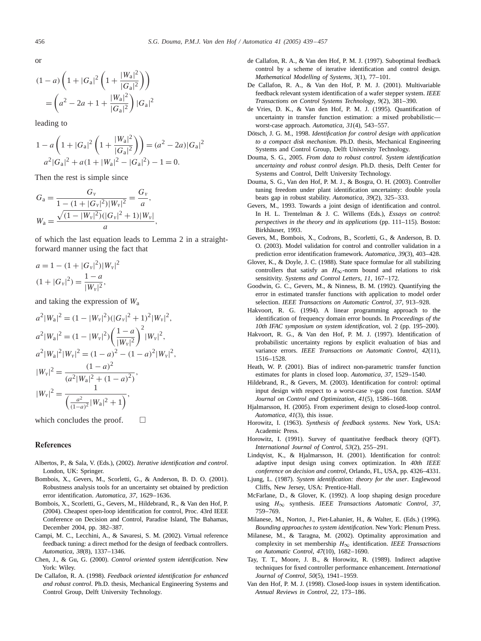<span id="page-17-0"></span>or

$$
(1-a)\left(1+|G_{a}|^{2}\left(1+\frac{|W_{a}|^{2}}{|G_{a}|^{2}}\right)\right)
$$

$$
=\left(a^{2}-2a+1+\frac{|W_{a}|^{2}}{|G_{a}|^{2}}\right)|G_{a}|^{2}
$$

leading to

$$
1 - a\left(1 + |G_a|^2 \left(1 + \frac{|W_a|^2}{|G_a|^2}\right)\right) = (a^2 - 2a)|G_a|^2
$$
  

$$
a^2|G_a|^2 + a(1 + |W_a|^2 - |G_a|^2) - 1 = 0.
$$

Then the rest is simple since

$$
G_{\rm a} = \frac{G_{\rm v}}{1 - (1 + |G_{\rm v}|^2)|W_{\rm v}|^2} = \frac{G_{\rm v}}{a},
$$
  

$$
W_{\rm a} = \frac{\sqrt{(1 - |W_{\rm v}|^2)(|G_{\rm v}|^2 + 1)|W_{\rm v}|}}{a},
$$

of which the last equation leads to Lemma 2 in a straightforward manner using the fact that

$$
a = 1 - (1 + |G_{v}|^{2})|W_{v}|^{2}
$$
  
(1 + |G\_{v}|^{2}) =  $\frac{1 - a}{|W_{v}|^{2}}$ ,

and taking the expression of  $W_a$ 

$$
a^{2}|W_{a}|^{2} = (1 - |W_{v}|^{2})(|G_{v}|^{2} + 1)^{2}|W_{v}|^{2},
$$
  
\n
$$
a^{2}|W_{a}|^{2} = (1 - |W_{v}|^{2})(\frac{1 - a}{|W_{v}|^{2}})^{2}|W_{v}|^{2},
$$
  
\n
$$
a^{2}|W_{a}|^{2}|W_{v}|^{2} = (1 - a)^{2} - (1 - a)^{2}|W_{v}|^{2},
$$
  
\n
$$
|W_{v}|^{2} = \frac{(1 - a)^{2}}{(a^{2}|W_{a}|^{2} + (1 - a)^{2})},
$$
  
\n
$$
|W_{v}|^{2} = \frac{1}{(\frac{a^{2}}{(1 - a)^{2}}|W_{a}|^{2} + 1)},
$$

which concludes the proof.  $\Box$ 

# References

- Albertos, P., & Sala, V. (Eds.), (2002). *Iterative identification and control*. London, UK: Springer.
- Bombois, X., Gevers, M., Scorletti, G., & Anderson, B. D. O. (2001). Robustness analysis tools for an uncertainty set obtained by prediction error identification. *Automatica*, *37*, 1629–1636.
- Bombois, X., Scorletti, G., Gevers, M., Hildebrand, R., & Van den Hof, P. (2004). Cheapest open-loop identification for control, Proc. 43rd IEEE Conference on Decision and Control, Paradise Island, The Bahamas, December 2004, pp. 382–387.
- Campi, M. C., Lecchini, A., & Savaresi, S. M. (2002). Virtual reference feedback tuning: a direct method for the design of feedback controllers. *Automatica*, *38*(8), 1337–1346.
- Chen, J., & Gu, G. (2000). *Control oriented system identification*. New York: Wiley.
- De Callafon, R. A. (1998). *Feedback oriented identification for enhanced and robust control*. Ph.D. thesis, Mechanical Engineering Systems and Control Group, Delft University Technology.
- de Callafon, R. A., & Van den Hof, P. M. J. (1997). Suboptimal feedback control by a scheme of iterative identification and control design. *Mathematical Modelling of Systems*, *3*(1), 77–101.
- De Callafon, R. A., & Van den Hof, P. M. J. (2001). Multivariable feedback relevant system identification of a wafer stepper system. *IEEE Transactions on Control Systems Technology*, *9*(2), 381–390.
- de Vries, D. K., & Van den Hof, P. M. J. (1995). Quantification of uncertainty in transfer function estimation: a mixed probabilisticworst-case approach. *Automatica*, *31*(4), 543–557.
- Dötsch, J. G. M., 1998. *Identification for control design with application to a compact disk mechanism*. Ph.D. thesis, Mechanical Engineering Systems and Control Group, Delft University Technology.
- Douma, S. G., 2005. *From data to robust control. System identification uncertainty and robust control design*. Ph.D. thesis, Delft Center for Systems and Control, Delft University Technology.
- Douma, S. G., Van den Hof, P. M. J., & Bosgra, O. H. (2003). Controller tuning freedom under plant identification uncertainty: double youla beats gap in robust stability. *Automatica*, *39*(2), 325–333.
- Gevers, M., 1993. Towards a joint design of identification and control. In H. L. Trentelman & J. C. Willems (Eds.), *Essays on control*: *perspectives in the theory and its applications* (pp. 111–115). Boston: Birkhäuser, 1993.
- Gevers, M., Bombois, X., Codrons, B., Scorletti, G., & Anderson, B. D. O. (2003). Model validation for control and controller validation in a prediction error identification framework. *Automatica*, *39*(3), 403–428.
- Glover, K., & Doyle, J. C. (1988). State space formulae for all stabilizing controllers that satisfy an  $H_{\infty}$ -norm bound and relations to risk sensitivity. *Systems and Control Letters*, *11*, 167–172.
- Goodwin, G. C., Gevers, M., & Ninness, B. M. (1992). Quantifying the error in estimated transfer functions with application to model order selection. *IEEE Transactions on Automatic Control*, *37*, 913–928.
- Hakvoort, R. G. (1994). A linear programming approach to the identification of frequency domain error bounds. In *Proceedings of the 10th IFAC symposium on system identification*, vol. 2 (pp. 195–200).
- Hakvoort, R. G., & Van den Hof, P. M. J. (1997). Identification of probabilistic uncertainty regions by explicit evaluation of bias and variance errors. *IEEE Transactions on Automatic Control*, *42*(11), 1516–1528.
- Heath, W. P. (2001). Bias of indirect non-parametric transfer function estimates for plants in closed loop. Automatica, 37, 1529-1540.
- Hildebrand, R., & Gevers, M. (2003). Identification for control: optimal input design with respect to a worst-case v-gap cost function. *SIAM Journal on Control and Optimization*, *41*(5), 1586–1608.
- Hjalmarsson, H. (2005). From experiment design to closed-loop control. *Automatica*, *41*(3), this issue.
- Horowitz, I. (1963). *Synthesis of feedback systems*. New York, USA: Academic Press.
- Horowitz, I. (1991). Survey of quantitative feedback theory (QFT). *International Journal of Control*, *53*(2), 255–291.
- Lindqvist, K., & Hjalmarsson, H. (2001). Identification for control: adaptive input design using convex optimization. In *40th IEEE conference on decision and control*, Orlando, FL, USA, pp. 4326–4331.
- Ljung, L. (1987). System identification: theory for the user. Englewood Cliffs, New Jersey, USA: Prentice-Hall.
- McFarlane, D., & Glover, K. (1992). A loop shaping design procedure using H∞ synthesis. *IEEE Transactions Automatic Control*, *37*, 759–769.
- Milanese, M., Norton, J., Piet-Lahanier, H., & Walter, E. (Eds.) (1996). *Bounding approaches to system identification*. New York: Plenum Press.
- Milanese, M., & Taragna, M. (2002). Optimality approximation and complexity in set membership  $H_{\infty}$  identification. *IEEE Transactions on Automatic Control*, *47*(10), 1682–1690.
- Tay, T. T., Moore, J. B., & Horowitz, R. (1989). Indirect adaptive techniques for fixed controller performance enhancement. *International Journal of Control*, *50*(5), 1941–1959.
- Van den Hof, P. M. J. (1998). Closed-loop issues in system identification. *Annual Reviews in Control*, *22*, 173–186.